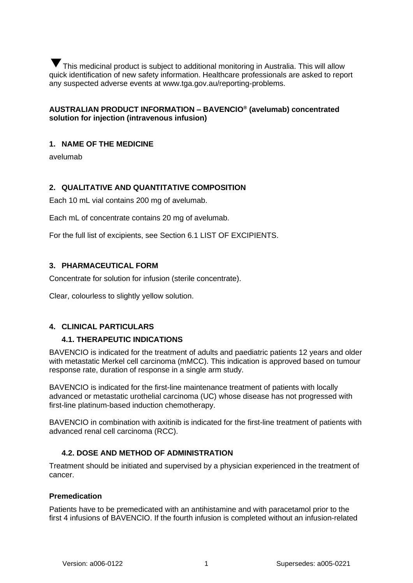This medicinal product is subject to additional monitoring in Australia. This will allow ▼quick identification of new safety information. Healthcare professionals are asked to report any suspected adverse events at www.tga.gov.au/reporting-problems.

# **AUSTRALIAN PRODUCT INFORMATION – BAVENCIO® (avelumab) concentrated solution for injection (intravenous infusion)**

## **1. NAME OF THE MEDICINE**

avelumab

## **2. QUALITATIVE AND QUANTITATIVE COMPOSITION**

Each 10 mL vial contains 200 mg of avelumab.

Each mL of concentrate contains 20 mg of avelumab.

For the full list of excipients, see Section [6.1](#page-34-0) [LIST OF EXCIPIENTS.](#page-34-0)

## **3. PHARMACEUTICAL FORM**

Concentrate for solution for infusion (sterile concentrate).

Clear, colourless to slightly yellow solution.

## **4. CLINICAL PARTICULARS**

## **4.1. THERAPEUTIC INDICATIONS**

BAVENCIO is indicated for the treatment of adults and paediatric patients 12 years and older with metastatic Merkel cell carcinoma (mMCC). This indication is approved based on tumour response rate, duration of response in a single arm study.

BAVENCIO is indicated for the first-line maintenance treatment of patients with locally advanced or metastatic urothelial carcinoma (UC) whose disease has not progressed with first-line platinum-based induction chemotherapy.

BAVENCIO in combination with axitinib is indicated for the first-line treatment of patients with advanced renal cell carcinoma (RCC).

## <span id="page-0-0"></span>**4.2. DOSE AND METHOD OF ADMINISTRATION**

Treatment should be initiated and supervised by a physician experienced in the treatment of cancer.

### **Premedication**

Patients have to be premedicated with an antihistamine and with paracetamol prior to the first 4 infusions of BAVENCIO. If the fourth infusion is completed without an infusion-related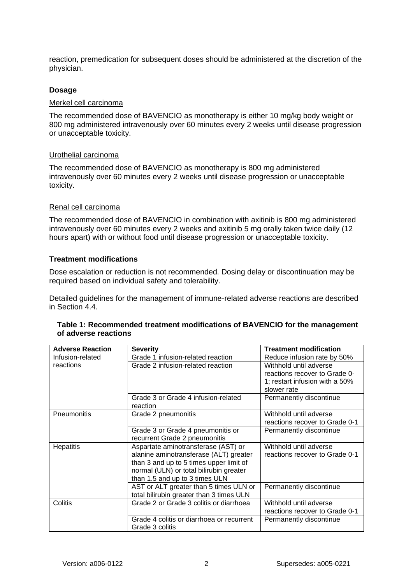reaction, premedication for subsequent doses should be administered at the discretion of the physician.

#### **Dosage**

#### Merkel cell carcinoma

The recommended dose of BAVENCIO as monotherapy is either 10 mg/kg body weight or 800 mg administered intravenously over 60 minutes every 2 weeks until disease progression or unacceptable toxicity.

#### Urothelial carcinoma

The recommended dose of BAVENCIO as monotherapy is 800 mg administered intravenously over 60 minutes every 2 weeks until disease progression or unacceptable toxicity.

### Renal cell carcinoma

The recommended dose of BAVENCIO in combination with axitinib is 800 mg administered intravenously over 60 minutes every 2 weeks and axitinib 5 mg orally taken twice daily (12 hours apart) with or without food until disease progression or unacceptable toxicity.

#### **Treatment modifications**

Dose escalation or reduction is not recommended. Dosing delay or discontinuation may be required based on individual safety and tolerability.

Detailed guidelines for the management of immune-related adverse reactions are described in Section [4.4.](#page-4-0)

| Table 1: Recommended treatment modifications of BAVENCIO for the management |
|-----------------------------------------------------------------------------|
| of adverse reactions                                                        |

| <b>Adverse Reaction</b> | <b>Severity</b>                           | <b>Treatment modification</b>  |
|-------------------------|-------------------------------------------|--------------------------------|
| Infusion-related        | Grade 1 infusion-related reaction         | Reduce infusion rate by 50%    |
| reactions               | Grade 2 infusion-related reaction         | Withhold until adverse         |
|                         |                                           | reactions recover to Grade 0-  |
|                         |                                           | 1; restart infusion with a 50% |
|                         |                                           | slower rate                    |
|                         | Grade 3 or Grade 4 infusion-related       | Permanently discontinue        |
|                         | reaction                                  |                                |
| Pneumonitis             | Grade 2 pneumonitis                       | Withhold until adverse         |
|                         |                                           | reactions recover to Grade 0-1 |
|                         | Grade 3 or Grade 4 pneumonitis or         | Permanently discontinue        |
|                         | recurrent Grade 2 pneumonitis             |                                |
| Hepatitis               | Aspartate aminotransferase (AST) or       | Withhold until adverse         |
|                         | alanine aminotransferase (ALT) greater    | reactions recover to Grade 0-1 |
|                         | than 3 and up to 5 times upper limit of   |                                |
|                         | normal (ULN) or total bilirubin greater   |                                |
|                         | than 1.5 and up to 3 times ULN            |                                |
|                         | AST or ALT greater than 5 times ULN or    | Permanently discontinue        |
|                         | total bilirubin greater than 3 times ULN  |                                |
| Colitis                 | Grade 2 or Grade 3 colitis or diarrhoea   | Withhold until adverse         |
|                         |                                           | reactions recover to Grade 0-1 |
|                         | Grade 4 colitis or diarrhoea or recurrent | Permanently discontinue        |
|                         | Grade 3 colitis                           |                                |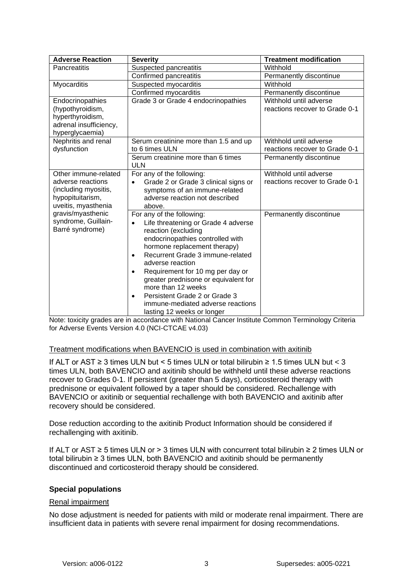| <b>Adverse Reaction</b> | <b>Severity</b>                                   | <b>Treatment modification</b>  |
|-------------------------|---------------------------------------------------|--------------------------------|
| Pancreatitis            | Suspected pancreatitis                            | Withhold                       |
|                         | Confirmed pancreatitis                            | Permanently discontinue        |
| Myocarditis             | Suspected myocarditis                             | Withhold                       |
|                         | Confirmed myocarditis                             | Permanently discontinue        |
| Endocrinopathies        | Grade 3 or Grade 4 endocrinopathies               | Withhold until adverse         |
| (hypothyroidism,        |                                                   | reactions recover to Grade 0-1 |
| hyperthyroidism,        |                                                   |                                |
| adrenal insufficiency,  |                                                   |                                |
| hyperglycaemia)         |                                                   |                                |
| Nephritis and renal     | Serum creatinine more than 1.5 and up             | Withhold until adverse         |
| dysfunction             | to 6 times ULN                                    | reactions recover to Grade 0-1 |
|                         | Serum creatinine more than 6 times<br><b>ULN</b>  | Permanently discontinue        |
| Other immune-related    | For any of the following:                         | Withhold until adverse         |
| adverse reactions       | Grade 2 or Grade 3 clinical signs or<br>$\bullet$ | reactions recover to Grade 0-1 |
| (including myositis,    | symptoms of an immune-related                     |                                |
| hypopituitarism,        | adverse reaction not described                    |                                |
| uveitis, myasthenia     | above.                                            |                                |
| gravis/myasthenic       | For any of the following:                         | Permanently discontinue        |
| syndrome, Guillain-     | Life threatening or Grade 4 adverse<br>$\bullet$  |                                |
| Barré syndrome)         | reaction (excluding                               |                                |
|                         | endocrinopathies controlled with                  |                                |
|                         | hormone replacement therapy)                      |                                |
|                         | Recurrent Grade 3 immune-related<br>$\bullet$     |                                |
|                         | adverse reaction                                  |                                |
|                         | Requirement for 10 mg per day or<br>٠             |                                |
|                         | greater prednisone or equivalent for              |                                |
|                         | more than 12 weeks                                |                                |
|                         | Persistent Grade 2 or Grade 3<br>$\bullet$        |                                |
|                         | immune-mediated adverse reactions                 |                                |
|                         | lasting 12 weeks or longer                        |                                |

Note: toxicity grades are in accordance with National Cancer Institute Common Terminology Criteria for Adverse Events Version 4.0 (NCI-CTCAE v4.03)

## Treatment modifications when BAVENCIO is used in combination with axitinib

If ALT or AST ≥ 3 times ULN but < 5 times ULN or total bilirubin ≥ 1.5 times ULN but < 3 times ULN, both BAVENCIO and axitinib should be withheld until these adverse reactions recover to Grades 0-1. If persistent (greater than 5 days), corticosteroid therapy with prednisone or equivalent followed by a taper should be considered. Rechallenge with BAVENCIO or axitinib or sequential rechallenge with both BAVENCIO and axitinib after recovery should be considered.

Dose reduction according to the axitinib Product Information should be considered if rechallenging with axitinib.

If ALT or AST ≥ 5 times ULN or > 3 times ULN with concurrent total bilirubin ≥ 2 times ULN or total bilirubin ≥ 3 times ULN, both BAVENCIO and axitinib should be permanently discontinued and corticosteroid therapy should be considered.

## **Special populations**

### Renal impairment

No dose adjustment is needed for patients with mild or moderate renal impairment. There are insufficient data in patients with severe renal impairment for dosing recommendations.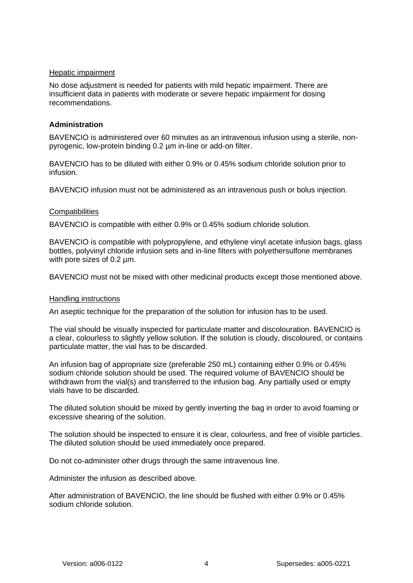### Hepatic impairment

No dose adjustment is needed for patients with mild hepatic impairment. There are insufficient data in patients with moderate or severe hepatic impairment for dosing recommendations.

## **Administration**

BAVENCIO is administered over 60 minutes as an intravenous infusion using a sterile, nonpyrogenic, low-protein binding 0.2 µm in-line or add-on filter.

BAVENCIO has to be diluted with either 0.9% or 0.45% sodium chloride solution prior to infusion.

BAVENCIO infusion must not be administered as an intravenous push or bolus injection.

### **Compatibilities**

BAVENCIO is compatible with either 0.9% or 0.45% sodium chloride solution.

BAVENCIO is compatible with polypropylene, and ethylene vinyl acetate infusion bags, glass bottles, polyvinyl chloride infusion sets and in-line filters with polyethersulfone membranes with pore sizes of 0.2 µm.

BAVENCIO must not be mixed with other medicinal products except those mentioned above.

### Handling instructions

An aseptic technique for the preparation of the solution for infusion has to be used.

The vial should be visually inspected for particulate matter and discolouration. BAVENCIO is a clear, colourless to slightly yellow solution. If the solution is cloudy, discoloured, or contains particulate matter, the vial has to be discarded.

An infusion bag of appropriate size (preferable 250 mL) containing either 0.9% or 0.45% sodium chloride solution should be used. The required volume of BAVENCIO should be withdrawn from the vial(s) and transferred to the infusion bag. Any partially used or empty vials have to be discarded.

The diluted solution should be mixed by gently inverting the bag in order to avoid foaming or excessive shearing of the solution.

The solution should be inspected to ensure it is clear, colourless, and free of visible particles. The diluted solution should be used immediately once prepared.

Do not co-administer other drugs through the same intravenous line.

Administer the infusion as described above.

After administration of BAVENCIO, the line should be flushed with either 0.9% or 0.45% sodium chloride solution.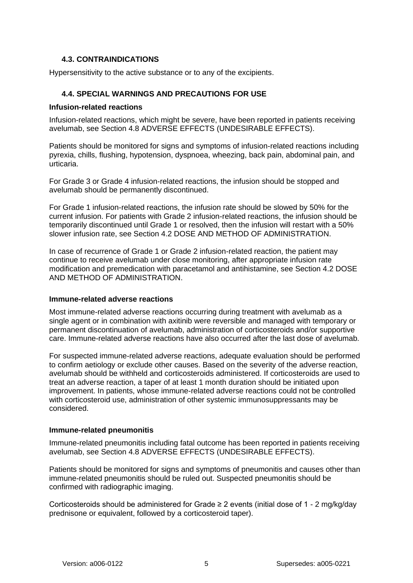## **4.3. CONTRAINDICATIONS**

Hypersensitivity to the active substance or to any of the excipients.

# <span id="page-4-0"></span>**4.4. SPECIAL WARNINGS AND PRECAUTIONS FOR USE**

### **Infusion-related reactions**

Infusion-related reactions, which might be severe, have been reported in patients receiving avelumab, see Section [4.8](#page-10-0) [ADVERSE EFFECTS \(UNDESIRABLE EFFECTS\).](#page-10-0)

Patients should be monitored for signs and symptoms of infusion-related reactions including pyrexia, chills, flushing, hypotension, dyspnoea, wheezing, back pain, abdominal pain, and urticaria.

For Grade 3 or Grade 4 infusion-related reactions, the infusion should be stopped and avelumab should be permanently discontinued.

For Grade 1 infusion-related reactions, the infusion rate should be slowed by 50% for the current infusion. For patients with Grade 2 infusion-related reactions, the infusion should be temporarily discontinued until Grade 1 or resolved, then the infusion will restart with a 50% slower infusion rate, see Section [4.2](#page-0-0) [DOSE AND METHOD OF ADMINISTRATION.](#page-0-0)

In case of recurrence of Grade 1 or Grade 2 infusion-related reaction, the patient may continue to receive avelumab under close monitoring, after appropriate infusion rate modification and premedication with paracetamol and antihistamine, see Section [4.2](#page-0-0) [DOSE](#page-0-0)  [AND METHOD OF ADMINISTRATION.](#page-0-0)

## **Immune-related adverse reactions**

Most immune-related adverse reactions occurring during treatment with avelumab as a single agent or in combination with axitinib were reversible and managed with temporary or permanent discontinuation of avelumab, administration of corticosteroids and/or supportive care. Immune-related adverse reactions have also occurred after the last dose of avelumab.

For suspected immune-related adverse reactions, adequate evaluation should be performed to confirm aetiology or exclude other causes. Based on the severity of the adverse reaction, avelumab should be withheld and corticosteroids administered. If corticosteroids are used to treat an adverse reaction, a taper of at least 1 month duration should be initiated upon improvement. In patients, whose immune-related adverse reactions could not be controlled with corticosteroid use, administration of other systemic immunosuppressants may be considered.

## **Immune-related pneumonitis**

Immune-related pneumonitis including fatal outcome has been reported in patients receiving avelumab, see Section [4.8](#page-10-0) [ADVERSE EFFECTS \(UNDESIRABLE EFFECTS\).](#page-10-0)

Patients should be monitored for signs and symptoms of pneumonitis and causes other than immune-related pneumonitis should be ruled out. Suspected pneumonitis should be confirmed with radiographic imaging.

Corticosteroids should be administered for Grade ≥ 2 events (initial dose of 1 - 2 mg/kg/day prednisone or equivalent, followed by a corticosteroid taper).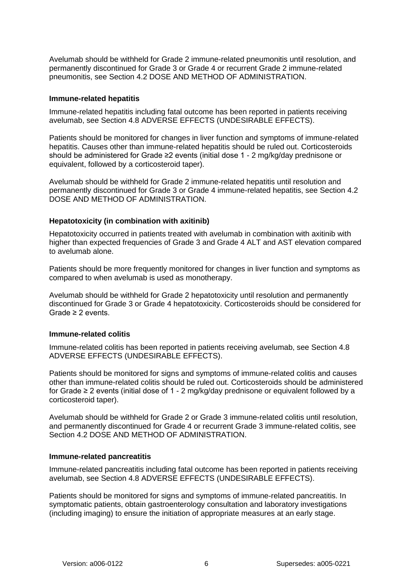Avelumab should be withheld for Grade 2 immune-related pneumonitis until resolution, and permanently discontinued for Grade 3 or Grade 4 or recurrent Grade 2 immune-related pneumonitis, see Section [4.2](#page-0-0) [DOSE AND METHOD OF ADMINISTRATION.](#page-0-0)

#### **Immune-related hepatitis**

Immune-related hepatitis including fatal outcome has been reported in patients receiving avelumab, see Section [4.8](#page-10-0) [ADVERSE EFFECTS \(UNDESIRABLE EFFECTS\).](#page-10-0)

Patients should be monitored for changes in liver function and symptoms of immune-related hepatitis. Causes other than immune-related hepatitis should be ruled out. Corticosteroids should be administered for Grade ≥2 events (initial dose 1 - 2 mg/kg/day prednisone or equivalent, followed by a corticosteroid taper).

Avelumab should be withheld for Grade 2 immune-related hepatitis until resolution and permanently discontinued for Grade 3 or Grade 4 immune-related hepatitis, see Section [4.2](#page-0-0) [DOSE AND METHOD OF ADMINISTRATION.](#page-0-0)

### **Hepatotoxicity (in combination with axitinib)**

Hepatotoxicity occurred in patients treated with avelumab in combination with axitinib with higher than expected frequencies of Grade 3 and Grade 4 ALT and AST elevation compared to avelumab alone.

Patients should be more frequently monitored for changes in liver function and symptoms as compared to when avelumab is used as monotherapy.

Avelumab should be withheld for Grade 2 hepatotoxicity until resolution and permanently discontinued for Grade 3 or Grade 4 hepatotoxicity. Corticosteroids should be considered for Grade ≥ 2 events.

### **Immune-related colitis**

Immune-related colitis has been reported in patients receiving avelumab, see Section [4.8](#page-10-0) [ADVERSE EFFECTS \(UNDESIRABLE EFFECTS\).](#page-10-0)

Patients should be monitored for signs and symptoms of immune-related colitis and causes other than immune-related colitis should be ruled out. Corticosteroids should be administered for Grade ≥ 2 events (initial dose of 1 - 2 mg/kg/day prednisone or equivalent followed by a corticosteroid taper).

Avelumab should be withheld for Grade 2 or Grade 3 immune-related colitis until resolution, and permanently discontinued for Grade 4 or recurrent Grade 3 immune-related colitis, see Section [4.2](#page-0-0) [DOSE AND METHOD OF ADMINISTRATION.](#page-0-0)

### **Immune-related pancreatitis**

Immune-related pancreatitis including fatal outcome has been reported in patients receiving avelumab, see Section [4.8](#page-10-0) [ADVERSE EFFECTS \(UNDESIRABLE EFFECTS\).](#page-10-0)

Patients should be monitored for signs and symptoms of immune-related pancreatitis. In symptomatic patients, obtain gastroenterology consultation and laboratory investigations (including imaging) to ensure the initiation of appropriate measures at an early stage.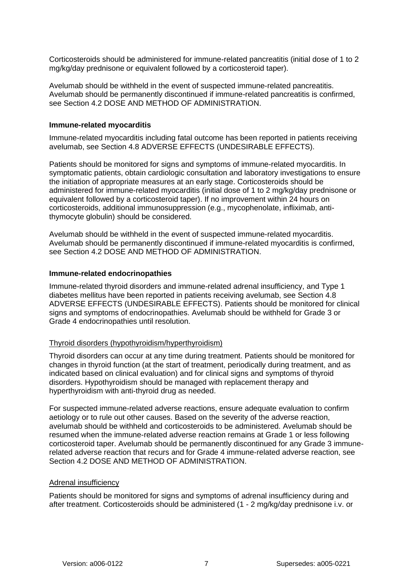Corticosteroids should be administered for immune-related pancreatitis (initial dose of 1 to 2 mg/kg/day prednisone or equivalent followed by a corticosteroid taper).

Avelumab should be withheld in the event of suspected immune-related pancreatitis. Avelumab should be permanently discontinued if immune-related pancreatitis is confirmed, see Section [4.2](#page-0-0) [DOSE AND METHOD OF ADMINISTRATION.](#page-0-0)

#### **Immune-related myocarditis**

Immune-related myocarditis including fatal outcome has been reported in patients receiving avelumab, see Section [4.8](#page-10-0) [ADVERSE EFFECTS \(UNDESIRABLE EFFECTS\).](#page-10-0)

Patients should be monitored for signs and symptoms of immune-related myocarditis. In symptomatic patients, obtain cardiologic consultation and laboratory investigations to ensure the initiation of appropriate measures at an early stage. Corticosteroids should be administered for immune-related myocarditis (initial dose of 1 to 2 mg/kg/day prednisone or equivalent followed by a corticosteroid taper). If no improvement within 24 hours on corticosteroids, additional immunosuppression (e.g., mycophenolate, infliximab, antithymocyte globulin) should be considered.

Avelumab should be withheld in the event of suspected immune-related myocarditis. Avelumab should be permanently discontinued if immune-related myocarditis is confirmed, see Section [4.2](#page-0-0) [DOSE AND METHOD OF ADMINISTRATION.](#page-0-0)

#### **Immune-related endocrinopathies**

Immune-related thyroid disorders and immune-related adrenal insufficiency, and Type 1 diabetes mellitus have been reported in patients receiving avelumab, see Section [4.8](#page-10-0) ADVERSE EFFECTS [\(UNDESIRABLE EFFECTS\).](#page-10-0) Patients should be monitored for clinical signs and symptoms of endocrinopathies. Avelumab should be withheld for Grade 3 or Grade 4 endocrinopathies until resolution.

#### Thyroid disorders (hypothyroidism/hyperthyroidism)

Thyroid disorders can occur at any time during treatment. Patients should be monitored for changes in thyroid function (at the start of treatment, periodically during treatment, and as indicated based on clinical evaluation) and for clinical signs and symptoms of thyroid disorders. Hypothyroidism should be managed with replacement therapy and hyperthyroidism with anti-thyroid drug as needed.

For suspected immune-related adverse reactions, ensure adequate evaluation to confirm aetiology or to rule out other causes. Based on the severity of the adverse reaction, avelumab should be withheld and corticosteroids to be administered. Avelumab should be resumed when the immune-related adverse reaction remains at Grade 1 or less following corticosteroid taper. Avelumab should be permanently discontinued for any Grade 3 immunerelated adverse reaction that recurs and for Grade 4 immune-related adverse reaction, see Section [4.2](#page-0-0) [DOSE AND METHOD OF ADMINISTRATION.](#page-0-0)

#### Adrenal insufficiency

Patients should be monitored for signs and symptoms of adrenal insufficiency during and after treatment. Corticosteroids should be administered (1 - 2 mg/kg/day prednisone i.v. or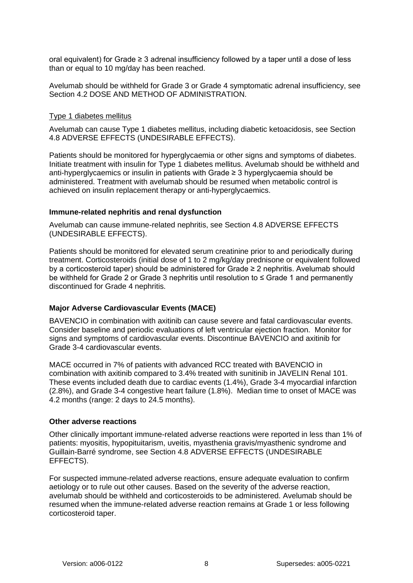oral equivalent) for Grade ≥ 3 adrenal insufficiency followed by a taper until a dose of less than or equal to 10 mg/day has been reached.

Avelumab should be withheld for Grade 3 or Grade 4 symptomatic adrenal insufficiency, see Section [4.2](#page-0-0) [DOSE AND METHOD OF ADMINISTRATION.](#page-0-0)

#### Type 1 diabetes mellitus

Avelumab can cause Type 1 diabetes mellitus, including diabetic ketoacidosis, see Section [4.8](#page-10-0) [ADVERSE EFFECTS \(UNDESIRABLE EFFECTS\).](#page-10-0)

Patients should be monitored for hyperglycaemia or other signs and symptoms of diabetes. Initiate treatment with insulin for Type 1 diabetes mellitus. Avelumab should be withheld and anti-hyperglycaemics or insulin in patients with Grade ≥ 3 hyperglycaemia should be administered. Treatment with avelumab should be resumed when metabolic control is achieved on insulin replacement therapy or anti-hyperglycaemics.

#### **Immune-related nephritis and renal dysfunction**

Avelumab can cause immune-related nephritis, see Section [4.8](#page-10-0) [ADVERSE EFFECTS](#page-10-0)  [\(UNDESIRABLE EFFECTS\).](#page-10-0)

Patients should be monitored for elevated serum creatinine prior to and periodically during treatment. Corticosteroids (initial dose of 1 to 2 mg/kg/day prednisone or equivalent followed by a corticosteroid taper) should be administered for Grade ≥ 2 nephritis. Avelumab should be withheld for Grade 2 or Grade 3 nephritis until resolution to ≤ Grade 1 and permanently discontinued for Grade 4 nephritis.

### **Major Adverse Cardiovascular Events (MACE)**

BAVENCIO in combination with axitinib can cause severe and fatal cardiovascular events. Consider baseline and periodic evaluations of left ventricular ejection fraction. Monitor for signs and symptoms of cardiovascular events. Discontinue BAVENCIO and axitinib for Grade 3-4 cardiovascular events.

MACE occurred in 7% of patients with advanced RCC treated with BAVENCIO in combination with axitinib compared to 3.4% treated with sunitinib in JAVELIN Renal 101. These events included death due to cardiac events (1.4%), Grade 3-4 myocardial infarction (2.8%), and Grade 3-4 congestive heart failure (1.8%). Median time to onset of MACE was 4.2 months (range: 2 days to 24.5 months).

#### **Other adverse reactions**

Other clinically important immune-related adverse reactions were reported in less than 1% of patients: myositis, hypopituitarism, uveitis, myasthenia gravis/myasthenic syndrome and Guillain-Barré syndrome, see Section [4.8](#page-10-0) [ADVERSE EFFECTS \(UNDESIRABLE](#page-10-0)  [EFFECTS\).](#page-10-0)

For suspected immune-related adverse reactions, ensure adequate evaluation to confirm aetiology or to rule out other causes. Based on the severity of the adverse reaction, avelumab should be withheld and corticosteroids to be administered. Avelumab should be resumed when the immune-related adverse reaction remains at Grade 1 or less following corticosteroid taper.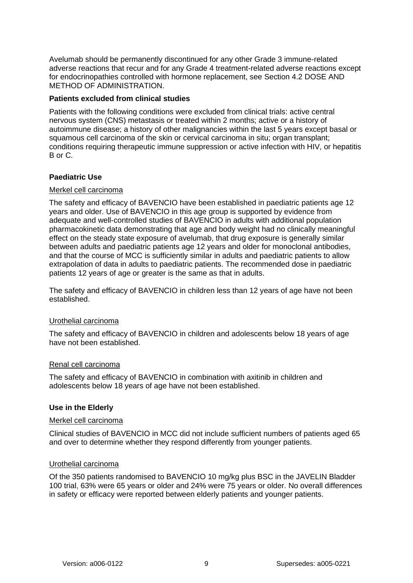Avelumab should be permanently discontinued for any other Grade 3 immune-related adverse reactions that recur and for any Grade 4 treatment-related adverse reactions except for endocrinopathies controlled with hormone replacement, see Section [4.2](#page-0-0) [DOSE AND](#page-0-0)  [METHOD OF ADMINISTRATION.](#page-0-0)

### **Patients excluded from clinical studies**

Patients with the following conditions were excluded from clinical trials: active central nervous system (CNS) metastasis or treated within 2 months; active or a history of autoimmune disease; a history of other malignancies within the last 5 years except basal or squamous cell carcinoma of the skin or cervical carcinoma in situ; organ transplant; conditions requiring therapeutic immune suppression or active infection with HIV, or hepatitis B or C.

### **Paediatric Use**

### Merkel cell carcinoma

The safety and efficacy of BAVENCIO have been established in paediatric patients age 12 years and older. Use of BAVENCIO in this age group is supported by evidence from adequate and well-controlled studies of BAVENCIO in adults with additional population pharmacokinetic data demonstrating that age and body weight had no clinically meaningful effect on the steady state exposure of avelumab, that drug exposure is generally similar between adults and paediatric patients age 12 years and older for monoclonal antibodies, and that the course of MCC is sufficiently similar in adults and paediatric patients to allow extrapolation of data in adults to paediatric patients. The recommended dose in paediatric patients 12 years of age or greater is the same as that in adults.

The safety and efficacy of BAVENCIO in children less than 12 years of age have not been established.

### Urothelial carcinoma

The safety and efficacy of BAVENCIO in children and adolescents below 18 years of age have not been established.

#### Renal cell carcinoma

The safety and efficacy of BAVENCIO in combination with axitinib in children and adolescents below 18 years of age have not been established.

### **Use in the Elderly**

#### Merkel cell carcinoma

Clinical studies of BAVENCIO in MCC did not include sufficient numbers of patients aged 65 and over to determine whether they respond differently from younger patients.

### Urothelial carcinoma

Of the 350 patients randomised to BAVENCIO 10 mg/kg plus BSC in the JAVELIN Bladder 100 trial, 63% were 65 years or older and 24% were 75 years or older. No overall differences in safety or efficacy were reported between elderly patients and younger patients.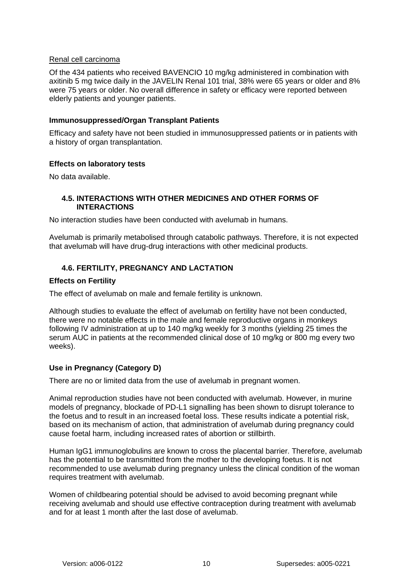### Renal cell carcinoma

Of the 434 patients who received BAVENCIO 10 mg/kg administered in combination with axitinib 5 mg twice daily in the JAVELIN Renal 101 trial, 38% were 65 years or older and 8% were 75 years or older. No overall difference in safety or efficacy were reported between elderly patients and younger patients.

### **Immunosuppressed/Organ Transplant Patients**

Efficacy and safety have not been studied in immunosuppressed patients or in patients with a history of organ transplantation.

## **Effects on laboratory tests**

No data available.

## **4.5. INTERACTIONS WITH OTHER MEDICINES AND OTHER FORMS OF INTERACTIONS**

No interaction studies have been conducted with avelumab in humans.

Avelumab is primarily metabolised through catabolic pathways. Therefore, it is not expected that avelumab will have drug-drug interactions with other medicinal products.

# **4.6. FERTILITY, PREGNANCY AND LACTATION**

### **Effects on Fertility**

The effect of avelumab on male and female fertility is unknown.

Although studies to evaluate the effect of avelumab on fertility have not been conducted, there were no notable effects in the male and female reproductive organs in monkeys following IV administration at up to 140 mg/kg weekly for 3 months (yielding 25 times the serum AUC in patients at the recommended clinical dose of 10 mg/kg or 800 mg every two weeks).

## **Use in Pregnancy (Category D)**

There are no or limited data from the use of avelumab in pregnant women.

Animal reproduction studies have not been conducted with avelumab. However, in murine models of pregnancy, blockade of PD-L1 signalling has been shown to disrupt tolerance to the foetus and to result in an increased foetal loss. These results indicate a potential risk, based on its mechanism of action, that administration of avelumab during pregnancy could cause foetal harm, including increased rates of abortion or stillbirth.

Human IgG1 immunoglobulins are known to cross the placental barrier. Therefore, avelumab has the potential to be transmitted from the mother to the developing foetus. It is not recommended to use avelumab during pregnancy unless the clinical condition of the woman requires treatment with avelumab.

Women of childbearing potential should be advised to avoid becoming pregnant while receiving avelumab and should use effective contraception during treatment with avelumab and for at least 1 month after the last dose of avelumab.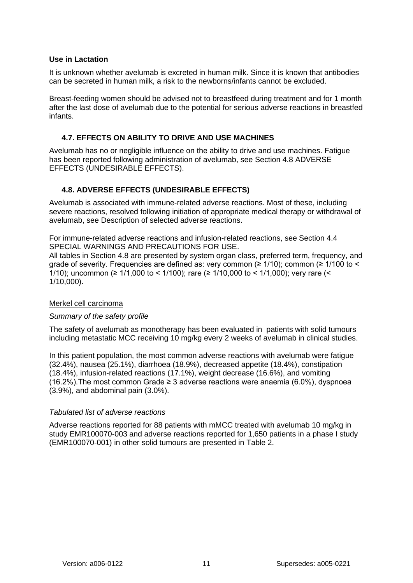### **Use in Lactation**

It is unknown whether avelumab is excreted in human milk. Since it is known that antibodies can be secreted in human milk, a risk to the newborns/infants cannot be excluded.

Breast-feeding women should be advised not to breastfeed during treatment and for 1 month after the last dose of avelumab due to the potential for serious adverse reactions in breastfed infants.

## **4.7. EFFECTS ON ABILITY TO DRIVE AND USE MACHINES**

Avelumab has no or negligible influence on the ability to drive and use machines. Fatigue has been reported following administration of avelumab, see Section [4.8](#page-10-0) [ADVERSE](#page-10-0)  [EFFECTS \(UNDESIRABLE EFFECTS\).](#page-10-0)

# <span id="page-10-0"></span>**4.8. ADVERSE EFFECTS (UNDESIRABLE EFFECTS)**

Avelumab is associated with immune-related adverse reactions. Most of these, including severe reactions, resolved following initiation of appropriate medical therapy or withdrawal of avelumab, see [Description of selected adverse reactions.](#page-18-0)

For immune-related adverse reactions and infusion-related reactions, see Section [4.4](#page-4-0) [SPECIAL WARNINGS AND PRECAUTIONS FOR USE.](#page-4-0)

All tables in Section [4.8](#page-10-0) are presented by system organ class, preferred term, frequency, and grade of severity. Frequencies are defined as: very common ( $\geq 1/10$ ); common ( $\geq 1/100$  to < 1/10); uncommon (≥ 1/1,000 to < 1/100); rare (≥ 1/10,000 to < 1/1,000); very rare (< 1/10,000).

## Merkel cell carcinoma

## *Summary of the safety profile*

The safety of avelumab as monotherapy has been evaluated in patients with solid tumours including metastatic MCC receiving 10 mg/kg every 2 weeks of avelumab in clinical studies.

In this patient population, the most common adverse reactions with avelumab were fatigue (32.4%), nausea (25.1%), diarrhoea (18.9%), decreased appetite (18.4%), constipation (18.4%), infusion-related reactions (17.1%), weight decrease (16.6%), and vomiting (16.2%). The most common Grade  $\geq$  3 adverse reactions were anaemia (6.0%), dyspnoea (3.9%), and abdominal pain (3.0%).

### *Tabulated list of adverse reactions*

Adverse reactions reported for 88 patients with mMCC treated with avelumab 10 mg/kg in study EMR100070-003 and adverse reactions reported for 1,650 patients in a phase I study (EMR100070-001) in other solid tumours are presented in [Table 2.](#page-11-0)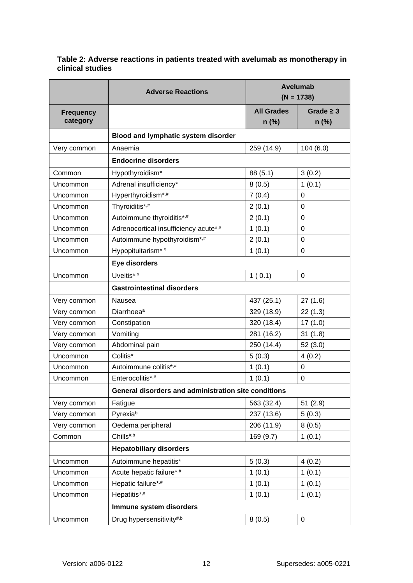|                  | <b>Adverse Reactions</b>                             |                   | <b>Avelumab</b><br>$(N = 1738)$ |  |  |
|------------------|------------------------------------------------------|-------------------|---------------------------------|--|--|
| <b>Frequency</b> |                                                      | <b>All Grades</b> | Grade $\geq$ 3                  |  |  |
| category         |                                                      | $n$ (%)           | n (%)                           |  |  |
|                  | Blood and lymphatic system disorder                  |                   |                                 |  |  |
| Very common      | Anaemia                                              | 259 (14.9)        | 104 (6.0)                       |  |  |
|                  | <b>Endocrine disorders</b>                           |                   |                                 |  |  |
| Common           | Hypothyroidism*                                      | 88 (5.1)          | 3(0.2)                          |  |  |
| Uncommon         | Adrenal insufficiency*                               | 8(0.5)            | 1(0.1)                          |  |  |
| Uncommon         | Hyperthyroidism*,#                                   | 7(0.4)            | 0                               |  |  |
| Uncommon         | Thyroiditis*,#                                       | 2(0.1)            | 0                               |  |  |
| Uncommon         | Autoimmune thyroiditis*,#                            | 2(0.1)            | 0                               |  |  |
| Uncommon         | Adrenocortical insufficiency acute*,#                | 1(0.1)            | 0                               |  |  |
| Uncommon         | Autoimmune hypothyroidism*,#                         | 2(0.1)            | 0                               |  |  |
| Uncommon         | Hypopituitarism*,#                                   | 1(0.1)            | $\Omega$                        |  |  |
|                  | Eye disorders                                        |                   |                                 |  |  |
| Uncommon         | Uveitis*,#                                           | 1(0.1)            | 0                               |  |  |
|                  | <b>Gastrointestinal disorders</b>                    |                   |                                 |  |  |
| Very common      | Nausea                                               | 437 (25.1)        | 27(1.6)                         |  |  |
| Very common      | Diarrhoea <sup>a</sup>                               | 329 (18.9)        | 22(1.3)                         |  |  |
| Very common      | Constipation                                         | 320 (18.4)        | 17(1.0)                         |  |  |
| Very common      | Vomiting                                             | 281 (16.2)        | 31(1.8)                         |  |  |
| Very common      | Abdominal pain                                       | 250 (14.4)        | 52(3.0)                         |  |  |
| Uncommon         | Colitis*                                             | 5(0.3)            | 4(0.2)                          |  |  |
| Uncommon         | Autoimmune colitis*,#                                | 1(0.1)            | 0                               |  |  |
| Uncommon         | Enterocolitis*,#                                     | 1(0.1)            | 0                               |  |  |
|                  | General disorders and administration site conditions |                   |                                 |  |  |
| Very common      | Fatigue                                              | 563 (32.4)        | 51(2.9)                         |  |  |
| Very common      | Pyrexiab                                             | 237 (13.6)        | 5(0.3)                          |  |  |
| Very common      | Oedema peripheral                                    | 206 (11.9)        | 8(0.5)                          |  |  |
| Common           | Chills <sup>#,b</sup>                                | 169 (9.7)         | 1(0.1)                          |  |  |
|                  | <b>Hepatobiliary disorders</b>                       |                   |                                 |  |  |
| Uncommon         | Autoimmune hepatitis*                                | 5(0.3)            | 4(0.2)                          |  |  |
| Uncommon         | Acute hepatic failure*,#                             | 1(0.1)            | 1(0.1)                          |  |  |
| Uncommon         | Hepatic failure*,#                                   | 1(0.1)            | 1(0.1)                          |  |  |
| Uncommon         | Hepatitis*,#                                         | 1(0.1)            | 1(0.1)                          |  |  |
|                  | Immune system disorders                              |                   |                                 |  |  |
| Uncommon         | Drug hypersensitivity#,b                             | 8(0.5)            | 0                               |  |  |

## <span id="page-11-0"></span>**Table 2: Adverse reactions in patients treated with avelumab as monotherapy in clinical studies**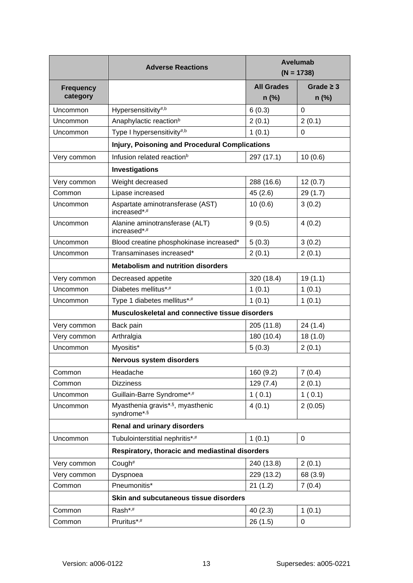|                              | <b>Adverse Reactions</b>                              |                            | <b>Avelumab</b><br>$(N = 1738)$ |  |
|------------------------------|-------------------------------------------------------|----------------------------|---------------------------------|--|
| <b>Frequency</b><br>category |                                                       | <b>All Grades</b><br>n (%) | Grade $\geq$ 3<br>$n$ (%)       |  |
| Uncommon                     | Hypersensitivity#,b                                   | 6(0.3)                     | $\Omega$                        |  |
| Uncommon                     | Anaphylactic reaction <sup>b</sup>                    | 2(0.1)                     | 2(0.1)                          |  |
| Uncommon                     | Type I hypersensitivity#,b                            | 1(0.1)                     | $\Omega$                        |  |
|                              | <b>Injury, Poisoning and Procedural Complications</b> |                            |                                 |  |
| Very common                  | Infusion related reaction <sup>b</sup>                | 297 (17.1)                 | 10(0.6)                         |  |
|                              | Investigations                                        |                            |                                 |  |
| Very common                  | Weight decreased                                      | 288 (16.6)                 | 12(0.7)                         |  |
| Common                       | Lipase increased                                      | 45(2.6)                    | 29 (1.7)                        |  |
| Uncommon                     | Aspartate aminotransferase (AST)<br>increased*,#      | 10(0.6)                    | 3(0.2)                          |  |
| Uncommon                     | Alanine aminotransferase (ALT)<br>increased*,#        | 9(0.5)                     | 4(0.2)                          |  |
| Uncommon                     | Blood creatine phosphokinase increased*               | 5(0.3)                     | 3(0.2)                          |  |
| Uncommon                     | Transaminases increased*                              | 2(0.1)                     | 2(0.1)                          |  |
|                              | <b>Metabolism and nutrition disorders</b>             |                            |                                 |  |
| Very common                  | Decreased appetite                                    | 320 (18.4)                 | 19(1.1)                         |  |
| Uncommon                     | Diabetes mellitus*,#                                  | 1(0.1)                     | 1(0.1)                          |  |
| Uncommon                     | Type 1 diabetes mellitus*,#                           | 1(0.1)                     | 1(0.1)                          |  |
|                              | Musculoskeletal and connective tissue disorders       |                            |                                 |  |
| Very common                  | Back pain                                             | 205 (11.8)                 | 24 (1.4)                        |  |
| Very common                  | Arthralgia                                            | 180 (10.4)                 | 18(1.0)                         |  |
| Uncommon                     | Myositis*<br>5(0.3)                                   |                            | 2(0.1)                          |  |
|                              | Nervous system disorders                              |                            |                                 |  |
| Common                       | Headache                                              | 160 (9.2)                  | 7(0.4)                          |  |
| Common                       | <b>Dizziness</b>                                      | 129(7.4)                   | 2(0.1)                          |  |
| Uncommon                     | Guillain-Barre Syndrome*,#                            | 1(0.1)                     | 1(0.1)                          |  |
| Uncommon                     | Myasthenia gravis*,§, myasthenic<br>syndrome*,§       | 4(0.1)                     | 2(0.05)                         |  |
|                              | <b>Renal and urinary disorders</b>                    |                            |                                 |  |
| Uncommon                     | Tubulointerstitial nephritis*,#                       | 1(0.1)                     | 0                               |  |
|                              | Respiratory, thoracic and mediastinal disorders       |                            |                                 |  |
| Very common                  | Cough#                                                | 240 (13.8)                 | 2(0.1)                          |  |
| Very common                  | Dyspnoea                                              | 229 (13.2)                 | 68 (3.9)                        |  |
| Common                       | Pneumonitis*                                          | 21(1.2)                    | 7(0.4)                          |  |
|                              | Skin and subcutaneous tissue disorders                |                            |                                 |  |
| Common                       | Rash*,#                                               | 40(2.3)                    | 1(0.1)                          |  |
| Common                       | Pruritus*,#                                           | 26(1.5)                    | 0                               |  |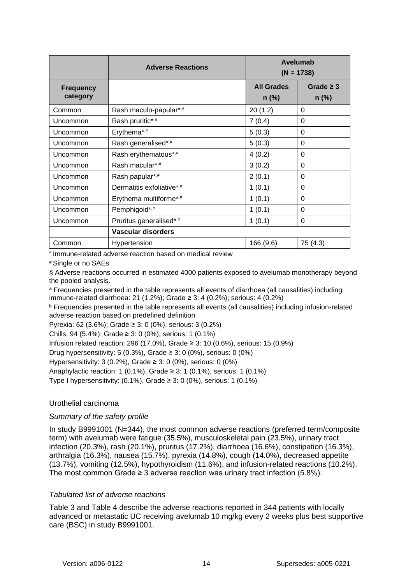|                              | <b>Adverse Reactions</b>  | Avelumab<br>$(N = 1738)$     |                           |
|------------------------------|---------------------------|------------------------------|---------------------------|
| <b>Frequency</b><br>category |                           | <b>All Grades</b><br>$n$ (%) | Grade $\geq$ 3<br>$n$ (%) |
| Common                       | Rash maculo-papular*,#    | 20(1.2)                      | 0                         |
| Uncommon                     | Rash pruritic*,#          | 7(0.4)                       | 0                         |
| Uncommon                     | Erythema*,#               | 5(0.3)                       | 0                         |
| Uncommon                     | Rash generalised*,#       | 5(0.3)                       | 0                         |
| Uncommon                     | Rash erythematous*,#      | 4(0.2)                       | 0                         |
| Uncommon                     | Rash macular*,#           | 3(0.2)                       | 0                         |
| Uncommon                     | Rash papular*,#           | 2(0.1)                       | 0                         |
| Uncommon                     | Dermatitis exfoliative*,# | 1(0.1)                       | 0                         |
| Uncommon                     | Erythema multiforme*,#    | 1(0.1)                       | 0                         |
| Uncommon                     | Pemphigoid*,#             | 1(0.1)                       | 0                         |
| Uncommon                     | Pruritus generalised*,#   | 1(0.1)                       | 0                         |
|                              | Vascular disorders        |                              |                           |
| Common                       | Hypertension              | 166 (9.6)                    | 75 (4.3)                  |

\* Immune-related adverse reaction based on medical review

# Single or no SAEs

§ Adverse reactions occurred in estimated 4000 patients exposed to avelumab monotherapy beyond the pooled analysis.

<sup>a</sup> Frequencies presented in the table represents all events of diarrhoea (all causalities) including immune-related diarrhoea: 21 (1.2%); Grade ≥ 3: 4 (0.2%); serious: 4 (0.2%)

<sup>b</sup> Frequencies presented in the table represents all events (all causalities) including infusion-related adverse reaction based on predefined definition

Pyrexia: 62 (3.6%); Grade ≥ 3: 0 (0%), serious: 3 (0.2%)

Chills: 94 (5.4%); Grade ≥ 3: 0 (0%), serious: 1 (0.1%)

Infusion related reaction: 296 (17.0%), Grade ≥ 3: 10 (0.6%), serious: 15 (0.9%)

Drug hypersensitivity: 5 (0.3%), Grade  $\geq$  3: 0 (0%), serious: 0 (0%)

Hypersensitivity: 3 (0.2%), Grade ≥ 3: 0 (0%), serious: 0 (0%)

Anaphylactic reaction: 1 (0.1%), Grade ≥ 3: 1 (0.1%), serious: 1 (0.1%)

Type I hypersensitivity:  $(0.1\%)$ , Grade  $\geq 3$ : 0  $(0\%)$ , serious: 1  $(0.1\%)$ 

## Urothelial carcinoma

## *Summary of the safety profile*

In study B9991001 (N=344), the most common adverse reactions (preferred term/composite term) with avelumab were fatigue (35.5%), musculoskeletal pain (23.5%), urinary tract infection (20.3%), rash (20.1%), pruritus (17.2%), diarrhoea (16.6%), constipation (16.3%), arthralgia (16.3%), nausea (15.7%), pyrexia (14.8%), cough (14.0%), decreased appetite (13.7%), vomiting (12.5%), hypothyroidism (11.6%), and infusion-related reactions (10.2%). The most common Grade  $\geq 3$  adverse reaction was urinary tract infection (5.8%).

## *Tabulated list of adverse reactions*

[Table 3](#page-14-0) and [Table 4](#page-15-0) describe the adverse reactions reported in 344 patients with locally advanced or metastatic UC receiving avelumab 10 mg/kg every 2 weeks plus best supportive care (BSC) in study B9991001.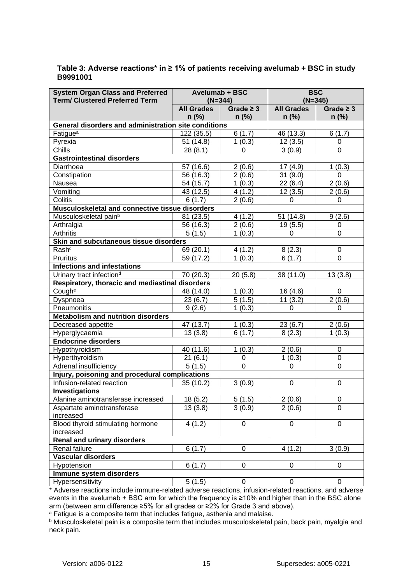| <b>System Organ Class and Preferred</b>              | <b>Avelumab + BSC</b> |                  | <b>BSC</b>        |                |  |
|------------------------------------------------------|-----------------------|------------------|-------------------|----------------|--|
| <b>Term/ Clustered Preferred Term</b>                |                       | $(N=344)$        |                   | $(N=345)$      |  |
|                                                      | <b>All Grades</b>     | Grade $\geq 3$   | <b>All Grades</b> | Grade $\geq 3$ |  |
|                                                      | $n$ (%)               | $n$ (%)          | $n$ (%)           | $n$ (%)        |  |
| General disorders and administration site conditions |                       |                  |                   |                |  |
| Fatigue <sup>a</sup>                                 | 122 (35.5)            | 6(1.7)           | 46 (13.3)         | 6(1.7)         |  |
| Pyrexia                                              | 51 (14.8)             | 1(0.3)           | 12(3.5)           | 0              |  |
| Chills                                               | 28(8.1)               | 0                | 3(0.9)            | $\mathbf 0$    |  |
| <b>Gastrointestinal disorders</b>                    |                       |                  |                   |                |  |
| Diarrhoea                                            | 57 (16.6)             | 2(0.6)           | 17(4.9)           | 1(0.3)         |  |
| Constipation                                         | 56 (16.3)             | 2(0.6)           | 31(9.0)           | 0              |  |
| Nausea                                               | 54 (15.7)             | 1(0.3)           | 22(6.4)           | 2(0.6)         |  |
| Vomiting                                             | 43 (12.5)             | 4(1.2)           | 12(3.5)           | 2(0.6)         |  |
| Colitis                                              | 6(1.7)                | 2(0.6)           | 0                 | 0              |  |
| Musculoskeletal and connective tissue disorders      |                       |                  |                   |                |  |
| Musculoskeletal pain <sup>b</sup>                    | 81 (23.5)             | 4(1.2)           | 51 (14.8)         | 9(2.6)         |  |
| Arthralgia                                           | 56 (16.3)             | 2(0.6)           | 19 (5.5)          | 0              |  |
| Arthritis                                            | 5(1.5)                | 1(0.3)           | 0                 | $\mathbf 0$    |  |
| Skin and subcutaneous tissue disorders               |                       |                  |                   |                |  |
| Rash <sup>c</sup>                                    | 69 (20.1)             | 4(1.2)           | 8(2.3)            | 0              |  |
| Pruritus                                             | 59 (17.2)             | 1(0.3)           | 6(1.7)            | $\mathbf 0$    |  |
| <b>Infections and infestations</b>                   |                       |                  |                   |                |  |
| Urinary tract infection <sup>d</sup>                 | 70 (20.3)             | 20(5.8)          | 38 (11.0)         | 13(3.8)        |  |
| Respiratory, thoracic and mediastinal disorders      |                       |                  |                   |                |  |
| Cough <sup>e</sup>                                   | 48 (14.0)             | 1(0.3)           | 16 (4.6)          | 0              |  |
| Dyspnoea                                             | 23(6.7)               | 5(1.5)           | 11(3.2)           | 2(0.6)         |  |
| Pneumonitis                                          | 9(2.6)                | 1(0.3)           | 0                 | 0              |  |
| <b>Metabolism and nutrition disorders</b>            |                       |                  |                   |                |  |
| Decreased appetite                                   | 47 (13.7)             | 1(0.3)           | 23(6.7)           | 2(0.6)         |  |
| Hyperglycaemia                                       | 13(3.8)               | 6(1.7)           | 8(2.3)            | 1(0.3)         |  |
| <b>Endocrine disorders</b>                           |                       |                  |                   |                |  |
| Hypothyroidism                                       | 40 (11.6)             | 1(0.3)           | 2(0.6)            | 0              |  |
| Hyperthyroidism                                      | 21(6.1)               | 0                | 1(0.3)            | $\mathbf 0$    |  |
| Adrenal insufficiency                                | 5(1.5)                | 0                | 0                 | $\overline{0}$ |  |
| Injury, poisoning and procedural complications       |                       |                  |                   |                |  |
| Infusion-related reaction                            | 35(10.2)              | 3(0.9)           | 0                 | 0              |  |
| Investigations                                       |                       |                  |                   |                |  |
| Alanine aminotransferase increased                   | 18(5.2)               | 5(1.5)           | 2(0.6)            |                |  |
|                                                      |                       |                  |                   | 0<br>$\Omega$  |  |
| Aspartate aminotransferase                           | 13(3.8)               | 3(0.9)           | 2(0.6)            |                |  |
| increased                                            |                       |                  |                   |                |  |
| Blood thyroid stimulating hormone                    | 4(1.2)                | 0                | $\mathbf 0$       | $\mathbf 0$    |  |
| increased                                            |                       |                  |                   |                |  |
| Renal and urinary disorders                          |                       |                  |                   |                |  |
| Renal failure                                        | 6(1.7)                | 0                | 4(1.2)            | 3(0.9)         |  |
| <b>Vascular disorders</b>                            |                       |                  |                   |                |  |
| Hypotension                                          | 6(1.7)                | 0                | 0                 | 0              |  |
| Immune system disorders                              |                       |                  |                   |                |  |
| Hypersensitivity                                     | 5(1.5)                | $\boldsymbol{0}$ | 0                 | 0              |  |

### <span id="page-14-0"></span>**Table 3: Adverse reactions\* in ≥ 1% of patients receiving avelumab + BSC in study B9991001**

\* Adverse reactions include immune-related adverse reactions, infusion-related reactions, and adverse events in the avelumab + BSC arm for which the frequency is ≥10% and higher than in the BSC alone arm (between arm difference ≥5% for all grades or ≥2% for Grade 3 and above).

a Fatigue is a composite term that includes fatigue, asthenia and malaise.

b Musculoskeletal pain is a composite term that includes musculoskeletal pain, back pain, myalgia and neck pain.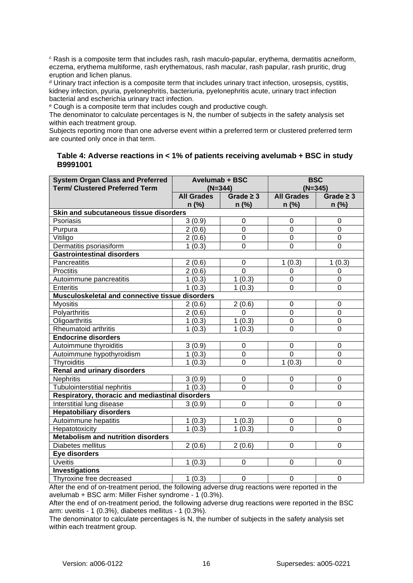<sup>c</sup> Rash is a composite term that includes rash, rash maculo-papular, erythema, dermatitis acneiform, eczema, erythema multiforme, rash erythematous, rash macular, rash papular, rash pruritic, drug eruption and lichen planus.

<sup>d</sup> Urinary tract infection is a composite term that includes urinary tract infection, urosepsis, cystitis, kidney infection, pyuria, pyelonephritis, bacteriuria, pyelonephritis acute, urinary tract infection bacterial and escherichia urinary tract infection.

<sup>e</sup> Cough is a composite term that includes cough and productive cough.

The denominator to calculate percentages is N, the number of subjects in the safety analysis set within each treatment group.

Subjects reporting more than one adverse event within a preferred term or clustered preferred term are counted only once in that term.

### <span id="page-15-0"></span>**Table 4: Adverse reactions in < 1% of patients receiving avelumab + BSC in study B9991001**

| <b>System Organ Class and Preferred</b>         | Avelumab + BSC    |                  | <b>BSC</b>        |                  |  |
|-------------------------------------------------|-------------------|------------------|-------------------|------------------|--|
| <b>Term/ Clustered Preferred Term</b>           | $(N=344)$         |                  | $(N=345)$         |                  |  |
|                                                 | <b>All Grades</b> | Grade $\geq 3$   | <b>All Grades</b> | Grade $\geq 3$   |  |
|                                                 | n (%)             | $n$ (%)          | $n$ (%)           | $n$ (%)          |  |
| Skin and subcutaneous tissue disorders          |                   |                  |                   |                  |  |
| Psoriasis                                       | 3(0.9)            | 0                | 0                 | $\boldsymbol{0}$ |  |
| Purpura                                         | 2(0.6)            | $\mathbf 0$      | $\mathbf 0$       | $\overline{0}$   |  |
| Vitiligo                                        | 2(0.6)            | $\overline{0}$   | $\mathbf 0$       | $\mathbf 0$      |  |
| Dermatitis psoriasiform                         | 1(0.3)            | $\mathbf 0$      | $\mathbf 0$       | $\overline{0}$   |  |
| <b>Gastrointestinal disorders</b>               |                   |                  |                   |                  |  |
| Pancreatitis                                    | 2(0.6)            | $\boldsymbol{0}$ | 1(0.3)            | 1(0.3)           |  |
| Proctitis                                       | 2(0.6)            | $\mathsf 0$      | 0                 | $\mathbf 0$      |  |
| Autoimmune pancreatitis                         | 1(0.3)            | 1(0.3)           | 0                 | $\overline{0}$   |  |
| <b>Enteritis</b>                                | 1(0.3)            | 1(0.3)           | $\overline{0}$    | $\overline{0}$   |  |
| Musculoskeletal and connective tissue disorders |                   |                  |                   |                  |  |
| <b>Myositis</b>                                 | 2(0.6)            | 2(0.6)           | 0                 | $\mathbf 0$      |  |
| Polyarthritis                                   | 2(0.6)            | $\mathbf 0$      | $\mathbf 0$       | $\mathbf 0$      |  |
| Oligoarthritis                                  | 1(0.3)            | 1(0.3)           | $\mathbf 0$       | $\mathbf 0$      |  |
| Rheumatoid arthritis                            | 1(0.3)            | 1(0.3)           | $\overline{0}$    | $\overline{0}$   |  |
| <b>Endocrine disorders</b>                      |                   |                  |                   |                  |  |
| Autoimmune thyroiditis                          | 3(0.9)            | $\pmb{0}$        | $\mathbf 0$       | $\mathbf 0$      |  |
| Autoimmune hypothyroidism                       | 1(0.3)            | $\boldsymbol{0}$ | $\overline{0}$    | $\mathbf 0$      |  |
| Thyroiditis                                     | 1(0.3)            | $\overline{0}$   | 1(0.3)            | $\overline{0}$   |  |
| <b>Renal and urinary disorders</b>              |                   |                  |                   |                  |  |
| <b>Nephritis</b>                                | 3(0.9)            | $\pmb{0}$        | 0                 | 0                |  |
| <b>Tubulointerstitial nephritis</b>             | 1(0.3)            | $\overline{0}$   | $\overline{0}$    | $\Omega$         |  |
| Respiratory, thoracic and mediastinal disorders |                   |                  |                   |                  |  |
| Interstitial lung disease                       | 3(0.9)            | $\mathsf 0$      | 0                 | $\mathbf 0$      |  |
| <b>Hepatobiliary disorders</b>                  |                   |                  |                   |                  |  |
| Autoimmune hepatitis                            | 1(0.3)            | 1(0.3)           | 0                 | $\pmb{0}$        |  |
| Hepatotoxicity                                  | 1(0.3)            | 1(0.3)           | 0                 | $\mathbf 0$      |  |
| <b>Metabolism and nutrition disorders</b>       |                   |                  |                   |                  |  |
| Diabetes mellitus                               | 2(0.6)            | 2(0.6)           | 0                 | $\mathbf 0$      |  |
| Eye disorders                                   |                   |                  |                   |                  |  |
| <b>Uveitis</b>                                  | 1(0.3)            | $\pmb{0}$        | 0                 | $\mathbf 0$      |  |
| <b>Investigations</b>                           |                   |                  |                   |                  |  |
| Thyroxine free decreased                        | 1(0.3)            | 0                | 0                 | $\mathbf 0$      |  |

After the end of on-treatment period, the following adverse drug reactions were reported in the avelumab + BSC arm: Miller Fisher syndrome - 1 (0.3%).

After the end of on-treatment period, the following adverse drug reactions were reported in the BSC arm: uveitis - 1 (0.3%), diabetes mellitus - 1 (0.3%).

The denominator to calculate percentages is N, the number of subjects in the safety analysis set within each treatment group.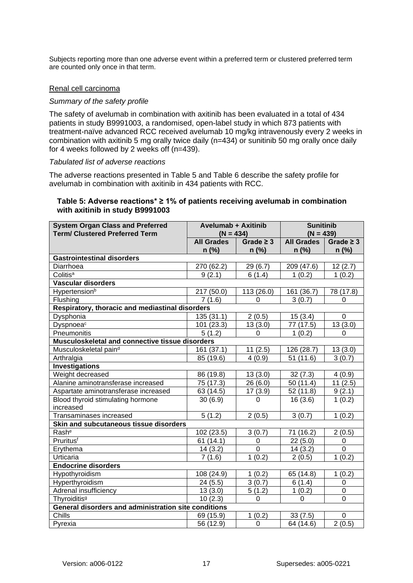Subjects reporting more than one adverse event within a preferred term or clustered preferred term are counted only once in that term.

## Renal cell carcinoma

#### *Summary of the safety profile*

The safety of avelumab in combination with axitinib has been evaluated in a total of 434 patients in study B9991003, a randomised, open-label study in which 873 patients with treatment-naïve advanced RCC received avelumab 10 mg/kg intravenously every 2 weeks in combination with axitinib 5 mg orally twice daily (n=434) or sunitinib 50 mg orally once daily for 4 weeks followed by 2 weeks off (n=439).

#### *Tabulated list of adverse reactions*

The adverse reactions presented in [Table 5](#page-16-0) and [Table 6](#page-17-0) describe the safety profile for avelumab in combination with axitinib in 434 patients with RCC.

### <span id="page-16-0"></span>**Table 5: Adverse reactions\* ≥ 1% of patients receiving avelumab in combination with axitinib in study B9991003**

| <b>System Organ Class and Preferred</b><br><b>Term/ Clustered Preferred Term</b> | <b>Avelumab + Axitinib</b><br>$(N = 434)$ |                     | <b>Sunitinib</b><br>$(N = 439)$ |                |
|----------------------------------------------------------------------------------|-------------------------------------------|---------------------|---------------------------------|----------------|
|                                                                                  | <b>All Grades</b>                         | Grade $\geq$ 3      | <b>All Grades</b>               | Grade $\geq$ 3 |
|                                                                                  | $n$ (%)                                   | $n$ (%)             | $n$ (%)                         | $n$ (%)        |
| <b>Gastrointestinal disorders</b>                                                |                                           |                     |                                 |                |
| Diarrhoea                                                                        | 270 (62.2)                                | 29(6.7)             | 209 (47.6)                      | 12(2.7)        |
| Colitis <sup>a</sup>                                                             | 9(2.1)                                    | 6(1.4)              | 1(0.2)                          | 1(0.2)         |
| <b>Vascular disorders</b>                                                        |                                           |                     |                                 |                |
| Hypertension <sup>b</sup>                                                        | 217 (50.0)                                | 113 (26.0)          | 161 (36.7)                      | 78 (17.8)      |
| Flushing                                                                         | 7(1.6)                                    | 0                   | 3(0.7)                          | $\Omega$       |
| Respiratory, thoracic and mediastinal disorders                                  |                                           |                     |                                 |                |
| Dysphonia                                                                        | 135(31.1)                                 | 2(0.5)              | 15(3.4)                         | $\Omega$       |
| Dyspnoeac                                                                        | 101 (23.3)                                | 13(3.0)             | 77 (17.5)                       | 13(3.0)        |
| Pneumonitis                                                                      | 5(1.2)                                    | 0                   | 1(0.2)                          | $\Omega$       |
| Musculoskeletal and connective tissue disorders                                  |                                           |                     |                                 |                |
| Musculoskeletal paind                                                            | 161 (37.1)                                | 11(2.5)             | 126 (28.7)                      | 13(3.0)        |
| Arthralgia                                                                       | 85 (19.6)                                 | 4(0.9)              | 51(11.6)                        | 3(0.7)         |
| <b>Investigations</b>                                                            |                                           |                     |                                 |                |
| Weight decreased                                                                 | 86 (19.8)                                 | 13(3.0)             | 32(7.3)                         | 4(0.9)         |
| Alanine aminotransferase increased                                               | 75 (17.3)                                 | 26(6.0)             | 50 (11.4)                       | 11(2.5)        |
| Aspartate aminotransferase increased                                             | 63 (14.5)                                 | 17(3.9)             | 52 (11.8)                       | 9(2.1)         |
| Blood thyroid stimulating hormone                                                | 30(6.9)                                   | 0                   | 16(3.6)                         | 1(0.2)         |
| increased                                                                        |                                           |                     |                                 |                |
| Transaminases increased                                                          | 5(1.2)                                    | 2(0.5)              | 3(0.7)                          | 1(0.2)         |
| Skin and subcutaneous tissue disorders                                           |                                           |                     |                                 |                |
| Rash <sup>e</sup>                                                                | 102 (23.5)                                | 3(0.7)              | 71 (16.2)                       | 2(0.5)         |
| Pruritusf                                                                        | 61(14.1)                                  | $\mathbf 0$         | 22(5.0)                         | $\mathbf 0$    |
| Erythema                                                                         | 14(3.2)                                   | $\overline{0}$      | 14(3.2)                         | 0              |
| Urticaria                                                                        | 7(1.6)                                    | 1(0.2)              | 2(0.5)                          | 1(0.2)         |
| <b>Endocrine disorders</b>                                                       |                                           |                     |                                 |                |
| Hypothyroidism                                                                   | 108 (24.9)                                | 1(0.2)              | 65 (14.8)                       | 1(0.2)         |
| Hyperthyroidism                                                                  | 24 (5.5)                                  | 3(0.7)              | 6(1.4)                          | $\Omega$       |
| Adrenal insufficiency                                                            | 13(3.0)                                   | $\overline{5(1.2)}$ | 1(0.2)                          | $\mathbf 0$    |
| Thyroiditis <sup>9</sup>                                                         | 10(2.3)                                   | 0                   | 0                               | $\mathbf 0$    |
| General disorders and administration site conditions                             |                                           |                     |                                 |                |
| Chills                                                                           | 69 (15.9)                                 | 1(0.2)              | 33(7.5)                         | 0              |
| Pyrexia                                                                          | 56 (12.9)                                 | $\mathbf 0$         | 64 (14.6)                       | 2(0.5)         |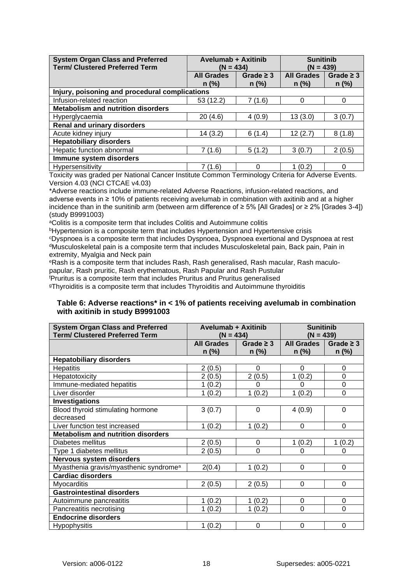| <b>System Organ Class and Preferred</b><br><b>Term/ Clustered Preferred Term</b> | <b>Avelumab + Axitinib</b><br>$(N = 434)$ |                           | <b>Sunitinib</b><br>$(N = 439)$ |                           |
|----------------------------------------------------------------------------------|-------------------------------------------|---------------------------|---------------------------------|---------------------------|
|                                                                                  | <b>All Grades</b><br>$n$ (%)              | Grade $\geq$ 3<br>$n$ (%) | <b>All Grades</b><br>$n$ (%)    | Grade $\geq$ 3<br>$n$ (%) |
| Injury, poisoning and procedural complications                                   |                                           |                           |                                 |                           |
| Infusion-related reaction                                                        | 53 (12.2)                                 | 7 (1.6)                   | $\Omega$                        | $\Omega$                  |
| <b>Metabolism and nutrition disorders</b>                                        |                                           |                           |                                 |                           |
| Hyperglycaemia                                                                   | 20(4.6)                                   | 4(0.9)                    | 13(3.0)                         | 3(0.7)                    |
| <b>Renal and urinary disorders</b>                                               |                                           |                           |                                 |                           |
| Acute kidney injury                                                              | 14(3.2)                                   | 6(1.4)                    | 12(2.7)                         | 8(1.8)                    |
| <b>Hepatobiliary disorders</b>                                                   |                                           |                           |                                 |                           |
| Hepatic function abnormal                                                        | 7(1.6)                                    | 5(1.2)                    | 3(0.7)                          | 2(0.5)                    |
| Immune system disorders                                                          |                                           |                           |                                 |                           |
| Hypersensitivity                                                                 | 7 (1.6)                                   | 0                         | 1(0.2)                          | $\Omega$                  |

Toxicity was graded per National Cancer Institute Common Terminology Criteria for Adverse Events. Version 4.03 (NCI CTCAE v4.03)

\*Adverse reactions include immune-related Adverse Reactions, infusion-related reactions, and adverse events in ≥ 10% of patients receiving avelumab in combination with axitinib and at a higher incidence than in the sunitinib arm (between arm difference of ≥ 5% [All Grades] or ≥ 2% [Grades 3-4]) (study B9991003)

aColitis is a composite term that includes Colitis and Autoimmune colitis

**bHypertension is a composite term that includes Hypertension and Hypertensive crisis** 

<sup>c</sup>Dyspnoea is a composite term that includes Dyspnoea, Dyspnoea exertional and Dyspnoea at rest <sup>d</sup>Musculoskeletal pain is a composite term that includes Musculoskeletal pain, Back pain, Pain in extremity, Myalgia and Neck pain

eRash is a composite term that includes Rash, Rash generalised, Rash macular, Rash maculopapular, Rash pruritic, Rash erythematous, Rash Papular and Rash Pustular

<sup>f</sup>Pruritus is a composite term that includes Pruritus and Pruritus generalised

<sup>g</sup>Thyroiditis is a composite term that includes Thyroiditis and Autoimmune thyroiditis

### <span id="page-17-0"></span>**Table 6: Adverse reactions\* in < 1% of patients receiving avelumab in combination with axitinib in study B9991003**

| <b>System Organ Class and Preferred</b>            | <b>Avelumab + Axitinib</b> |                | <b>Sunitinib</b>  |                |
|----------------------------------------------------|----------------------------|----------------|-------------------|----------------|
| <b>Term/ Clustered Preferred Term</b>              | $(N = 434)$                |                | $(N = 439)$       |                |
|                                                    | <b>All Grades</b>          | Grade $\geq$ 3 | <b>All Grades</b> | Grade $\geq$ 3 |
|                                                    | $n$ (%)                    | $n$ (%)        | $n$ (%)           | $n$ (%)        |
| <b>Hepatobiliary disorders</b>                     |                            |                |                   |                |
| <b>Hepatitis</b>                                   | 2(0.5)                     | $\Omega$       | 0                 | 0              |
| Hepatotoxicity                                     | 2(0.5)                     | 2(0.5)         | (0.2)<br>1        | 0              |
| Immune-mediated hepatitis                          | 1(0.2)                     | 0              | ი                 | 0              |
| Liver disorder                                     | 1(0.2)                     | 1(0.2)         | 1(0.2)            | $\mathbf 0$    |
| Investigations                                     |                            |                |                   |                |
| Blood thyroid stimulating hormone                  | 3(0.7)                     | 0              | 4(0.9)            | $\mathbf 0$    |
| decreased                                          |                            |                |                   |                |
| Liver function test increased                      | 1(0.2)                     | 1(0.2)         | 0                 | 0              |
| <b>Metabolism and nutrition disorders</b>          |                            |                |                   |                |
| Diabetes mellitus                                  | 2(0.5)                     | 0              | 1(0.2)            | 1(0.2)         |
| Type 1 diabetes mellitus                           | 2(0.5)                     | $\Omega$       | $\Omega$          | 0              |
| Nervous system disorders                           |                            |                |                   |                |
| Myasthenia gravis/myasthenic syndrome <sup>a</sup> | 2(0.4)                     | 1(0.2)         | $\overline{0}$    | $\mathbf 0$    |
| <b>Cardiac disorders</b>                           |                            |                |                   |                |
| <b>Myocarditis</b>                                 | 2(0.5)                     | 2(0.5)         | $\Omega$          | $\mathbf 0$    |
| <b>Gastrointestinal disorders</b>                  |                            |                |                   |                |
| Autoimmune pancreatitis                            | 1(0.2)                     | 1(0.2)         | 0                 | 0              |
| Pancreatitis necrotising                           | 1(0.2)                     | 1(0.2)         | $\overline{0}$    | $\mathbf 0$    |
| <b>Endocrine disorders</b>                         |                            |                |                   |                |
| Hypophysitis                                       | 1(0.2)                     | 0              | $\mathbf 0$       | $\mathbf 0$    |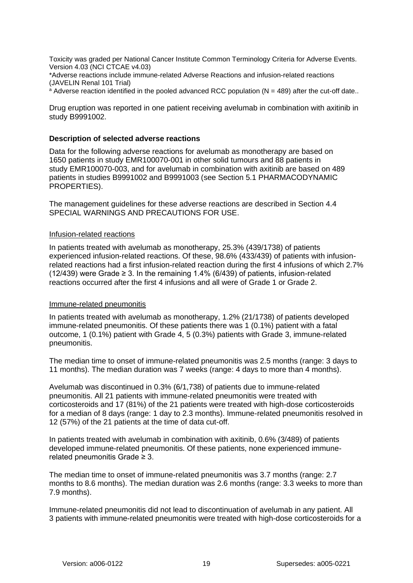Toxicity was graded per National Cancer Institute Common Terminology Criteria for Adverse Events. Version 4.03 (NCI CTCAE v4.03)

\*Adverse reactions include immune-related Adverse Reactions and infusion-related reactions (JAVELIN Renal 101 Trial)

 $a$  Adverse reaction identified in the pooled advanced RCC population ( $N = 489$ ) after the cut-off date..

Drug eruption was reported in one patient receiving avelumab in combination with axitinib in study B9991002.

#### <span id="page-18-0"></span>**Description of selected adverse reactions**

Data for the following adverse reactions for avelumab as monotherapy are based on 1650 patients in study EMR100070-001 in other solid tumours and 88 patients in study EMR100070-003, and for avelumab in combination with axitinib are based on 489 patients in studies B9991002 and B9991003 (see Section [5.1](#page-23-0) [PHARMACODYNAMIC](#page-23-0)  [PROPERTIES\)](#page-23-0).

The management guidelines for these adverse reactions are described in Section [4.4](#page-4-0) [SPECIAL WARNINGS AND PRECAUTIONS FOR USE.](#page-4-0)

#### Infusion-related reactions

In patients treated with avelumab as monotherapy, 25.3% (439/1738) of patients experienced infusion-related reactions. Of these, 98.6% (433/439) of patients with infusionrelated reactions had a first infusion-related reaction during the first 4 infusions of which 2.7% (12/439) were Grade  $\geq$  3. In the remaining 1.4% (6/439) of patients, infusion-related reactions occurred after the first 4 infusions and all were of Grade 1 or Grade 2.

#### Immune-related pneumonitis

In patients treated with avelumab as monotherapy, 1.2% (21/1738) of patients developed immune-related pneumonitis. Of these patients there was 1 (0.1%) patient with a fatal outcome, 1 (0.1%) patient with Grade 4, 5 (0.3%) patients with Grade 3, immune-related pneumonitis.

The median time to onset of immune-related pneumonitis was 2.5 months (range: 3 days to 11 months). The median duration was 7 weeks (range: 4 days to more than 4 months).

Avelumab was discontinued in 0.3% (6/1,738) of patients due to immune-related pneumonitis. All 21 patients with immune-related pneumonitis were treated with corticosteroids and 17 (81%) of the 21 patients were treated with high-dose corticosteroids for a median of 8 days (range: 1 day to 2.3 months). Immune-related pneumonitis resolved in 12 (57%) of the 21 patients at the time of data cut-off.

In patients treated with avelumab in combination with axitinib, 0.6% (3/489) of patients developed immune-related pneumonitis. Of these patients, none experienced immunerelated pneumonitis Grade ≥ 3.

The median time to onset of immune-related pneumonitis was 3.7 months (range: 2.7 months to 8.6 months). The median duration was 2.6 months (range: 3.3 weeks to more than 7.9 months).

Immune-related pneumonitis did not lead to discontinuation of avelumab in any patient. All 3 patients with immune-related pneumonitis were treated with high-dose corticosteroids for a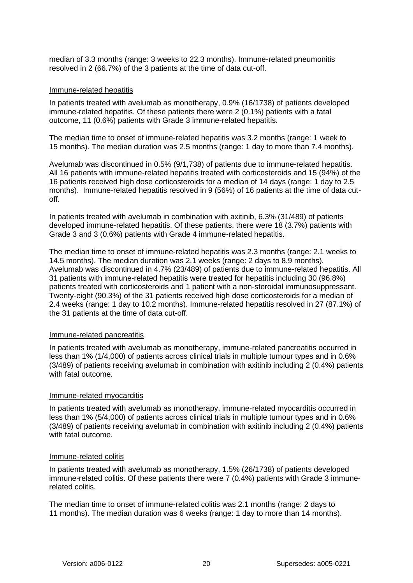median of 3.3 months (range: 3 weeks to 22.3 months). Immune-related pneumonitis resolved in 2 (66.7%) of the 3 patients at the time of data cut-off.

#### Immune-related hepatitis

In patients treated with avelumab as monotherapy, 0.9% (16/1738) of patients developed immune-related hepatitis. Of these patients there were 2 (0.1%) patients with a fatal outcome, 11 (0.6%) patients with Grade 3 immune-related hepatitis.

The median time to onset of immune-related hepatitis was 3.2 months (range: 1 week to 15 months). The median duration was 2.5 months (range: 1 day to more than 7.4 months).

Avelumab was discontinued in 0.5% (9/1,738) of patients due to immune-related hepatitis. All 16 patients with immune-related hepatitis treated with corticosteroids and 15 (94%) of the 16 patients received high dose corticosteroids for a median of 14 days (range: 1 day to 2.5 months). Immune-related hepatitis resolved in 9 (56%) of 16 patients at the time of data cutoff.

In patients treated with avelumab in combination with axitinib, 6.3% (31/489) of patients developed immune-related hepatitis. Of these patients, there were 18 (3.7%) patients with Grade 3 and 3 (0.6%) patients with Grade 4 immune-related hepatitis.

The median time to onset of immune-related hepatitis was 2.3 months (range: 2.1 weeks to 14.5 months). The median duration was 2.1 weeks (range: 2 days to 8.9 months). Avelumab was discontinued in 4.7% (23/489) of patients due to immune-related hepatitis. All 31 patients with immune-related hepatitis were treated for hepatitis including 30 (96.8%) patients treated with corticosteroids and 1 patient with a non-steroidal immunosuppressant. Twenty-eight (90.3%) of the 31 patients received high dose corticosteroids for a median of 2.4 weeks (range: 1 day to 10.2 months). Immune-related hepatitis resolved in 27 (87.1%) of the 31 patients at the time of data cut-off.

#### Immune-related pancreatitis

In patients treated with avelumab as monotherapy, immune-related pancreatitis occurred in less than 1% (1/4,000) of patients across clinical trials in multiple tumour types and in 0.6% (3/489) of patients receiving avelumab in combination with axitinib including 2 (0.4%) patients with fatal outcome.

#### Immune-related myocarditis

In patients treated with avelumab as monotherapy, immune-related myocarditis occurred in less than 1% (5/4,000) of patients across clinical trials in multiple tumour types and in 0.6% (3/489) of patients receiving avelumab in combination with axitinib including 2 (0.4%) patients with fatal outcome.

#### Immune-related colitis

In patients treated with avelumab as monotherapy, 1.5% (26/1738) of patients developed immune-related colitis. Of these patients there were 7 (0.4%) patients with Grade 3 immunerelated colitis.

The median time to onset of immune-related colitis was 2.1 months (range: 2 days to 11 months). The median duration was 6 weeks (range: 1 day to more than 14 months).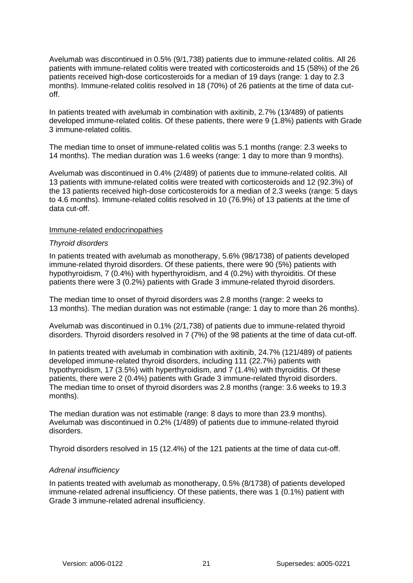Avelumab was discontinued in 0.5% (9/1,738) patients due to immune-related colitis. All 26 patients with immune-related colitis were treated with corticosteroids and 15 (58%) of the 26 patients received high-dose corticosteroids for a median of 19 days (range: 1 day to 2.3 months). Immune-related colitis resolved in 18 (70%) of 26 patients at the time of data cutoff.

In patients treated with avelumab in combination with axitinib, 2.7% (13/489) of patients developed immune-related colitis. Of these patients, there were 9 (1.8%) patients with Grade 3 immune-related colitis.

The median time to onset of immune-related colitis was 5.1 months (range: 2.3 weeks to 14 months). The median duration was 1.6 weeks (range: 1 day to more than 9 months).

Avelumab was discontinued in 0.4% (2/489) of patients due to immune-related colitis. All 13 patients with immune-related colitis were treated with corticosteroids and 12 (92.3%) of the 13 patients received high-dose corticosteroids for a median of 2.3 weeks (range: 5 days to 4.6 months). Immune-related colitis resolved in 10 (76.9%) of 13 patients at the time of data cut-off.

#### Immune-related endocrinopathies

#### *Thyroid disorders*

In patients treated with avelumab as monotherapy, 5.6% (98/1738) of patients developed immune-related thyroid disorders. Of these patients, there were 90 (5%) patients with hypothyroidism, 7 (0.4%) with hyperthyroidism, and 4 (0.2%) with thyroiditis. Of these patients there were 3 (0.2%) patients with Grade 3 immune-related thyroid disorders.

The median time to onset of thyroid disorders was 2.8 months (range: 2 weeks to 13 months). The median duration was not estimable (range: 1 day to more than 26 months).

Avelumab was discontinued in 0.1% (2/1,738) of patients due to immune-related thyroid disorders. Thyroid disorders resolved in 7 (7%) of the 98 patients at the time of data cut-off.

In patients treated with avelumab in combination with axitinib, 24.7% (121/489) of patients developed immune-related thyroid disorders, including 111 (22.7%) patients with hypothyroidism, 17 (3.5%) with hyperthyroidism, and  $\overline{7}$  (1.4%) with thyroiditis. Of these patients, there were 2 (0.4%) patients with Grade 3 immune-related thyroid disorders. The median time to onset of thyroid disorders was 2.8 months (range: 3.6 weeks to 19.3 months).

The median duration was not estimable (range: 8 days to more than 23.9 months). Avelumab was discontinued in 0.2% (1/489) of patients due to immune-related thyroid disorders.

Thyroid disorders resolved in 15 (12.4%) of the 121 patients at the time of data cut-off.

### *Adrenal insufficiency*

In patients treated with avelumab as monotherapy, 0.5% (8/1738) of patients developed immune-related adrenal insufficiency. Of these patients, there was 1 (0.1%) patient with Grade 3 immune-related adrenal insufficiency.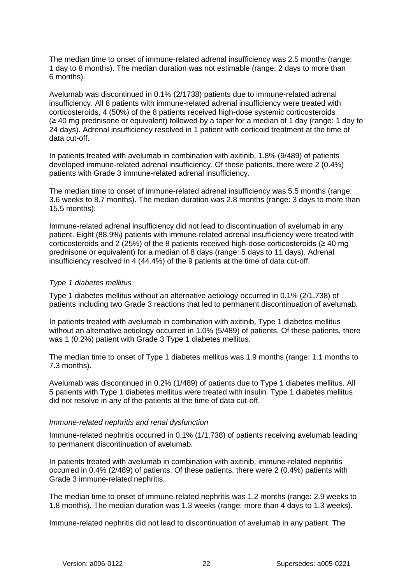The median time to onset of immune-related adrenal insufficiency was 2.5 months (range: 1 day to 8 months). The median duration was not estimable (range: 2 days to more than 6 months).

Avelumab was discontinued in 0.1% (2/1738) patients due to immune-related adrenal insufficiency. All 8 patients with immune-related adrenal insufficiency were treated with corticosteroids, 4 (50%) of the 8 patients received high-dose systemic corticosteroids (≥ 40 mg prednisone or equivalent) followed by a taper for a median of 1 day (range: 1 day to 24 days). Adrenal insufficiency resolved in 1 patient with corticoid treatment at the time of data cut-off.

In patients treated with avelumab in combination with axitinib, 1.8% (9/489) of patients developed immune-related adrenal insufficiency. Of these patients, there were 2 (0.4%) patients with Grade 3 immune-related adrenal insufficiency.

The median time to onset of immune-related adrenal insufficiency was 5.5 months (range: 3.6 weeks to 8.7 months). The median duration was 2.8 months (range: 3 days to more than 15.5 months).

Immune-related adrenal insufficiency did not lead to discontinuation of avelumab in any patient. Eight (88.9%) patients with immune-related adrenal insufficiency were treated with corticosteroids and 2 (25%) of the 8 patients received high-dose corticosteroids ( $\geq 40$  mg prednisone or equivalent) for a median of 8 days (range: 5 days to 11 days). Adrenal insufficiency resolved in 4 (44.4%) of the 9 patients at the time of data cut-off.

### *Type 1 diabetes mellitus*

Type 1 diabetes mellitus without an alternative aetiology occurred in 0.1% (2/1,738) of patients including two Grade 3 reactions that led to permanent discontinuation of avelumab.

In patients treated with avelumab in combination with axitinib, Type 1 diabetes mellitus without an alternative aetiology occurred in 1.0% (5/489) of patients. Of these patients, there was 1 (0.2%) patient with Grade 3 Type 1 diabetes mellitus.

The median time to onset of Type 1 diabetes mellitus was 1.9 months (range: 1.1 months to 7.3 months).

Avelumab was discontinued in 0.2% (1/489) of patients due to Type 1 diabetes mellitus. All 5 patients with Type 1 diabetes mellitus were treated with insulin. Type 1 diabetes mellitus did not resolve in any of the patients at the time of data cut-off.

#### *Immune-related nephritis and renal dysfunction*

Immune-related nephritis occurred in 0.1% (1/1,738) of patients receiving avelumab leading to permanent discontinuation of avelumab.

In patients treated with avelumab in combination with axitinib, immune-related nephritis occurred in 0.4% (2/489) of patients. Of these patients, there were 2 (0.4%) patients with Grade 3 immune-related nephritis.

The median time to onset of immune-related nephritis was 1.2 months (range: 2.9 weeks to 1.8 months). The median duration was 1.3 weeks (range: more than 4 days to 1.3 weeks).

Immune-related nephritis did not lead to discontinuation of avelumab in any patient. The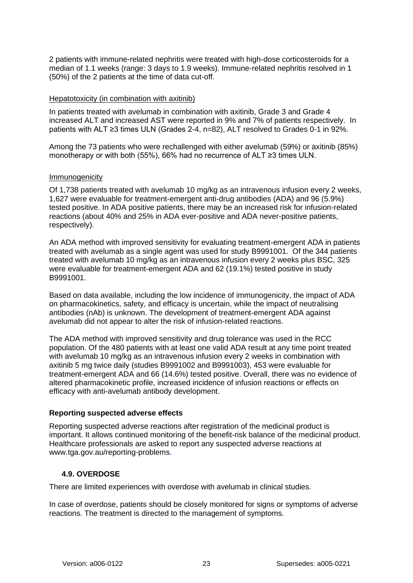2 patients with immune-related nephritis were treated with high-dose corticosteroids for a median of 1.1 weeks (range: 3 days to 1.9 weeks). Immune-related nephritis resolved in 1 (50%) of the 2 patients at the time of data cut-off.

### Hepatotoxicity (in combination with axitinib)

In patients treated with avelumab in combination with axitinib, Grade 3 and Grade 4 increased ALT and increased AST were reported in 9% and 7% of patients respectively. In patients with ALT ≥3 times ULN (Grades 2-4, n=82), ALT resolved to Grades 0-1 in 92%.

Among the 73 patients who were rechallenged with either avelumab (59%) or axitinib (85%) monotherapy or with both (55%), 66% had no recurrence of ALT ≥3 times ULN.

### Immunogenicity

Of 1,738 patients treated with avelumab 10 mg/kg as an intravenous infusion every 2 weeks, 1,627 were evaluable for treatment-emergent anti-drug antibodies (ADA) and 96 (5.9%) tested positive. In ADA positive patients, there may be an increased risk for infusion-related reactions (about 40% and 25% in ADA ever-positive and ADA never-positive patients, respectively).

An ADA method with improved sensitivity for evaluating treatment-emergent ADA in patients treated with avelumab as a single agent was used for study B9991001. Of the 344 patients treated with avelumab 10 mg/kg as an intravenous infusion every 2 weeks plus BSC, 325 were evaluable for treatment-emergent ADA and 62 (19.1%) tested positive in study B9991001.

Based on data available, including the low incidence of immunogenicity, the impact of ADA on pharmacokinetics, safety, and efficacy is uncertain, while the impact of neutralising antibodies (nAb) is unknown. The development of treatment-emergent ADA against avelumab did not appear to alter the risk of infusion-related reactions.

The ADA method with improved sensitivity and drug tolerance was used in the RCC population. Of the 480 patients with at least one valid ADA result at any time point treated with avelumab 10 mg/kg as an intravenous infusion every 2 weeks in combination with axitinib 5 mg twice daily (studies B9991002 and B9991003), 453 were evaluable for treatment-emergent ADA and 66 (14.6%) tested positive. Overall, there was no evidence of altered pharmacokinetic profile, increased incidence of infusion reactions or effects on efficacy with anti-avelumab antibody development.

## **Reporting suspected adverse effects**

Reporting suspected adverse reactions after registration of the medicinal product is important. It allows continued monitoring of the benefit-risk balance of the medicinal product. Healthcare professionals are asked to report any suspected adverse reactions at www.tga.gov.au/reporting-problems.

## **4.9. OVERDOSE**

There are limited experiences with overdose with avelumab in clinical studies.

In case of overdose, patients should be closely monitored for signs or symptoms of adverse reactions. The treatment is directed to the management of symptoms.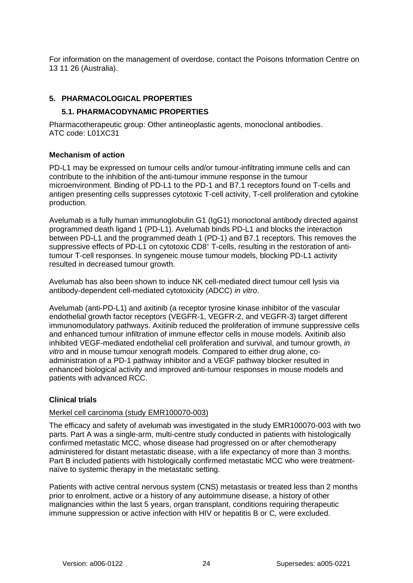For information on the management of overdose, contact the Poisons Information Centre on 13 11 26 (Australia).

### <span id="page-23-0"></span>**5. PHARMACOLOGICAL PROPERTIES**

### **5.1. PHARMACODYNAMIC PROPERTIES**

Pharmacotherapeutic group: Other antineoplastic agents, monoclonal antibodies. ATC code: L01XC31

### **Mechanism of action**

PD-L1 may be expressed on tumour cells and/or tumour-infiltrating immune cells and can contribute to the inhibition of the anti-tumour immune response in the tumour microenvironment. Binding of PD-L1 to the PD-1 and B7.1 receptors found on T-cells and antigen presenting cells suppresses cytotoxic T-cell activity, T-cell proliferation and cytokine production.

Avelumab is a fully human immunoglobulin G1 (IgG1) monoclonal antibody directed against programmed death ligand 1 (PD-L1). Avelumab binds PD-L1 and blocks the interaction between PD-L1 and the programmed death 1 (PD-1) and B7.1 receptors. This removes the suppressive effects of PD-L1 on cytotoxic CD8<sup>+</sup> T-cells, resulting in the restoration of antitumour T-cell responses. In syngeneic mouse tumour models, blocking PD-L1 activity resulted in decreased tumour growth.

Avelumab has also been shown to induce NK cell-mediated direct tumour cell lysis via antibody-dependent cell-mediated cytotoxicity (ADCC) *in vitro*.

Avelumab (anti-PD-L1) and axitinib (a receptor tyrosine kinase inhibitor of the vascular endothelial growth factor receptors (VEGFR-1, VEGFR-2, and VEGFR-3) target different immunomodulatory pathways. Axitinib reduced the proliferation of immune suppressive cells and enhanced tumour infiltration of immune effector cells in mouse models. Axitinib also inhibited VEGF-mediated endothelial cell proliferation and survival, and tumour growth, *in vitro* and in mouse tumour xenograft models. Compared to either drug alone, coadministration of a PD-1 pathway inhibitor and a VEGF pathway blocker resulted in enhanced biological activity and improved anti-tumour responses in mouse models and patients with advanced RCC.

## **Clinical trials**

### Merkel cell carcinoma (study EMR100070-003)

The efficacy and safety of avelumab was investigated in the study EMR100070-003 with two parts. Part A was a single-arm, multi-centre study conducted in patients with histologically confirmed metastatic MCC, whose disease had progressed on or after chemotherapy administered for distant metastatic disease, with a life expectancy of more than 3 months. Part B included patients with histologically confirmed metastatic MCC who were treatmentnaïve to systemic therapy in the metastatic setting.

Patients with active central nervous system (CNS) metastasis or treated less than 2 months prior to enrolment, active or a history of any autoimmune disease, a history of other malignancies within the last 5 years, organ transplant, conditions requiring therapeutic immune suppression or active infection with HIV or hepatitis B or C, were excluded.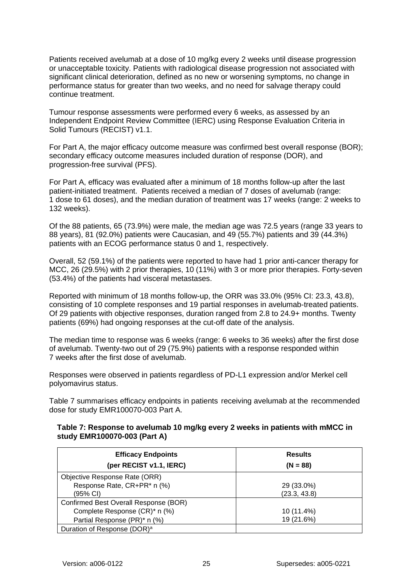Patients received avelumab at a dose of 10 mg/kg every 2 weeks until disease progression or unacceptable toxicity. Patients with radiological disease progression not associated with significant clinical deterioration, defined as no new or worsening symptoms, no change in performance status for greater than two weeks, and no need for salvage therapy could continue treatment.

Tumour response assessments were performed every 6 weeks, as assessed by an Independent Endpoint Review Committee (IERC) using Response Evaluation Criteria in Solid Tumours (RECIST) v1.1.

For Part A, the major efficacy outcome measure was confirmed best overall response (BOR); secondary efficacy outcome measures included duration of response (DOR), and progression-free survival (PFS).

For Part A, efficacy was evaluated after a minimum of 18 months follow-up after the last patient-initiated treatment. Patients received a median of 7 doses of avelumab (range: 1 dose to 61 doses), and the median duration of treatment was 17 weeks (range: 2 weeks to 132 weeks).

Of the 88 patients, 65 (73.9%) were male, the median age was 72.5 years (range 33 years to 88 years), 81 (92.0%) patients were Caucasian, and 49 (55.7%) patients and 39 (44.3%) patients with an ECOG performance status 0 and 1, respectively.

Overall, 52 (59.1%) of the patients were reported to have had 1 prior anti-cancer therapy for MCC, 26 (29.5%) with 2 prior therapies, 10 (11%) with 3 or more prior therapies. Forty-seven (53.4%) of the patients had visceral metastases.

Reported with minimum of 18 months follow-up, the ORR was 33.0% (95% CI: 23.3, 43.8), consisting of 10 complete responses and 19 partial responses in avelumab-treated patients. Of 29 patients with objective responses, duration ranged from 2.8 to 24.9+ months. Twenty patients (69%) had ongoing responses at the cut-off date of the analysis.

The median time to response was 6 weeks (range: 6 weeks to 36 weeks) after the first dose of avelumab. Twenty-two out of 29 (75.9%) patients with a response responded within 7 weeks after the first dose of avelumab.

Responses were observed in patients regardless of PD-L1 expression and/or Merkel cell polyomavirus status.

[Table 7](#page-24-0) summarises efficacy endpoints in patients receiving avelumab at the recommended dose for study EMR100070-003 Part A.

### <span id="page-24-0"></span>**Table 7: Response to avelumab 10 mg/kg every 2 weeks in patients with mMCC in study EMR100070-003 (Part A)**

| <b>Efficacy Endpoints</b>               | <b>Results</b> |
|-----------------------------------------|----------------|
| (per RECIST v1.1, IERC)                 | $(N = 88)$     |
| Objective Response Rate (ORR)           |                |
| Response Rate, CR+PR* n (%)             | 29 (33.0%)     |
| (95% CI)                                | (23.3, 43.8)   |
| Confirmed Best Overall Response (BOR)   |                |
| Complete Response (CR)* n (%)           | 10 (11.4%)     |
| Partial Response (PR)* n (%)            | 19 (21.6%)     |
| Duration of Response (DOR) <sup>a</sup> |                |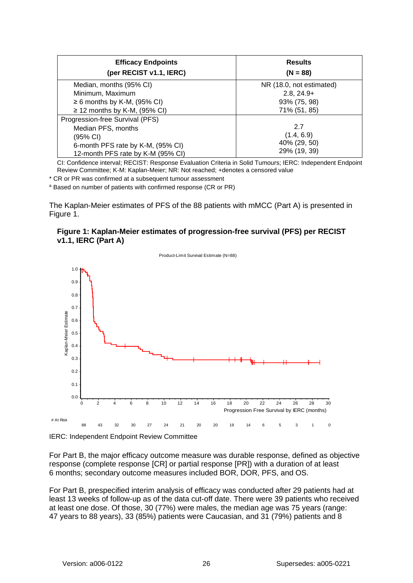| <b>Efficacy Endpoints</b><br>(per RECIST v1.1, IERC) | <b>Results</b><br>$(N = 88)$ |  |
|------------------------------------------------------|------------------------------|--|
| Median, months (95% CI)                              | NR (18.0, not estimated)     |  |
| Minimum, Maximum                                     | $2.8, 24.9+$                 |  |
| $\geq 6$ months by K-M, (95% CI)                     | 93% (75, 98)                 |  |
| $\geq$ 12 months by K-M, (95% CI)                    | 71% (51, 85)                 |  |
| Progression-free Survival (PFS)                      |                              |  |
| Median PFS, months                                   | 2.7                          |  |
| (95% CI)                                             | (1.4, 6.9)                   |  |
| 6-month PFS rate by K-M, (95% CI)                    | 40% (29, 50)                 |  |
| 12-month PFS rate by K-M (95% CI)                    | 29% (19, 39)                 |  |

CI: Confidence interval; RECIST: Response Evaluation Criteria in Solid Tumours; IERC: Independent Endpoint Review Committee; K-M: Kaplan-Meier; NR: Not reached; +denotes a censored value

\* CR or PR was confirmed at a subsequent tumour assessment

<sup>a</sup> Based on number of patients with confirmed response (CR or PR)

The Kaplan-Meier estimates of PFS of the 88 patients with mMCC (Part A) is presented in Figure 1.

### **Figure 1: Kaplan-Meier estimates of progression-free survival (PFS) per RECIST v1.1, IERC (Part A)**



IERC: Independent Endpoint Review Committee

For Part B, the major efficacy outcome measure was durable response, defined as objective response (complete response [CR] or partial response [PR]) with a duration of at least 6 months; secondary outcome measures included BOR, DOR, PFS, and OS.

For Part B, prespecified interim analysis of efficacy was conducted after 29 patients had at least 13 weeks of follow-up as of the data cut-off date. There were 39 patients who received at least one dose. Of those, 30 (77%) were males, the median age was 75 years (range: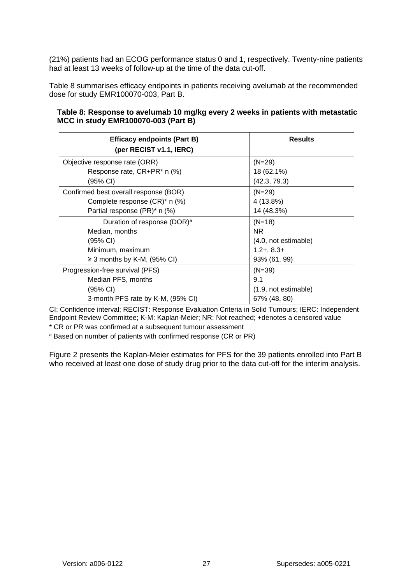(21%) patients had an ECOG performance status 0 and 1, respectively. Twenty-nine patients had at least 13 weeks of follow-up at the time of the data cut-off.

[Table 8](#page-26-0) summarises efficacy endpoints in patients receiving avelumab at the recommended dose for study EMR100070-003, Part B.

<span id="page-26-0"></span>

|                                     | Table 8: Response to avelumab 10 mg/kg every 2 weeks in patients with metastatic |  |
|-------------------------------------|----------------------------------------------------------------------------------|--|
| MCC in study EMR100070-003 (Part B) |                                                                                  |  |

| <b>Efficacy endpoints (Part B)</b><br>(per RECIST v1.1, IERC) | <b>Results</b>       |  |
|---------------------------------------------------------------|----------------------|--|
| Objective response rate (ORR)                                 | $(N=29)$             |  |
| Response rate, CR+PR* n (%)                                   | 18 (62.1%)           |  |
| (95% CI)                                                      | (42.3, 79.3)         |  |
| Confirmed best overall response (BOR)                         | $(N=29)$             |  |
| Complete response (CR)* n (%)                                 | 4 (13.8%)            |  |
| Partial response (PR)* n (%)                                  | 14 (48.3%)           |  |
| Duration of response (DOR) <sup>a</sup>                       | $(N=18)$             |  |
| Median, months                                                | NR.                  |  |
| (95% CI)                                                      | (4.0, not estimable) |  |
| Minimum, maximum                                              | $1.2 + 8.3 +$        |  |
| $\geq$ 3 months by K-M, (95% CI)                              | 93% (61, 99)         |  |
| Progression-free survival (PFS)                               | $(N=39)$             |  |
| Median PFS, months                                            | 9.1                  |  |
| (95% CI)                                                      | (1.9, not estimable) |  |
| 3-month PFS rate by K-M, (95% CI)                             | 67% (48, 80)         |  |

CI: Confidence interval; RECIST: Response Evaluation Criteria in Solid Tumours; IERC: Independent Endpoint Review Committee; K-M: Kaplan-Meier; NR: Not reached; +denotes a censored value

\* CR or PR was confirmed at a subsequent tumour assessment

<sup>a</sup> Based on number of patients with confirmed response (CR or PR)

[Figure 2](#page-27-0) presents the Kaplan-Meier estimates for PFS for the 39 patients enrolled into Part B who received at least one dose of study drug prior to the data cut-off for the interim analysis.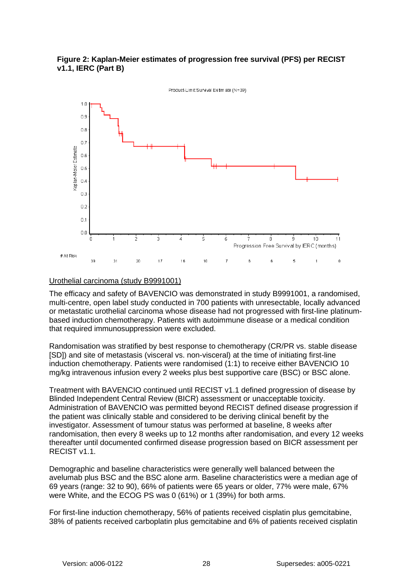

<span id="page-27-0"></span>

## Urothelial carcinoma (study B9991001)

The efficacy and safety of BAVENCIO was demonstrated in study B9991001, a randomised, multi-centre, open label study conducted in 700 patients with unresectable, locally advanced or metastatic urothelial carcinoma whose disease had not progressed with first-line platinumbased induction chemotherapy. Patients with autoimmune disease or a medical condition that required immunosuppression were excluded.

Randomisation was stratified by best response to chemotherapy (CR/PR vs. stable disease [SD]) and site of metastasis (visceral vs. non-visceral) at the time of initiating first-line induction chemotherapy. Patients were randomised (1:1) to receive either BAVENCIO 10 mg/kg intravenous infusion every 2 weeks plus best supportive care (BSC) or BSC alone.

Treatment with BAVENCIO continued until RECIST v1.1 defined progression of disease by Blinded Independent Central Review (BICR) assessment or unacceptable toxicity. Administration of BAVENCIO was permitted beyond RECIST defined disease progression if the patient was clinically stable and considered to be deriving clinical benefit by the investigator. Assessment of tumour status was performed at baseline, 8 weeks after randomisation, then every 8 weeks up to 12 months after randomisation, and every 12 weeks thereafter until documented confirmed disease progression based on BICR assessment per RECIST v1.1.

Demographic and baseline characteristics were generally well balanced between the avelumab plus BSC and the BSC alone arm. Baseline characteristics were a median age of 69 years (range: 32 to 90), 66% of patients were 65 years or older, 77% were male, 67% were White, and the ECOG PS was 0 (61%) or 1 (39%) for both arms.

For first-line induction chemotherapy, 56% of patients received cisplatin plus gemcitabine, 38% of patients received carboplatin plus gemcitabine and 6% of patients received cisplatin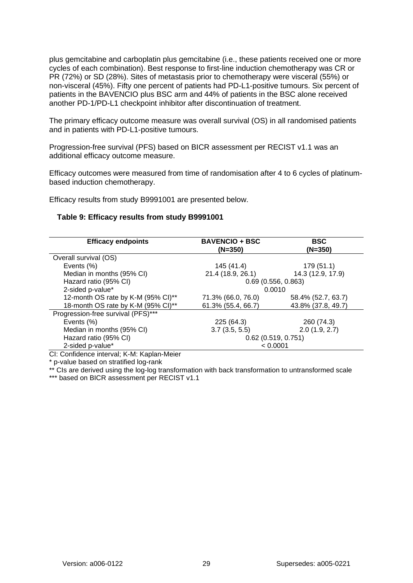plus gemcitabine and carboplatin plus gemcitabine (i.e., these patients received one or more cycles of each combination). Best response to first-line induction chemotherapy was CR or PR (72%) or SD (28%). Sites of metastasis prior to chemotherapy were visceral (55%) or non-visceral (45%). Fifty one percent of patients had PD-L1-positive tumours. Six percent of patients in the BAVENCIO plus BSC arm and 44% of patients in the BSC alone received another PD-1/PD-L1 checkpoint inhibitor after discontinuation of treatment.

The primary efficacy outcome measure was overall survival (OS) in all randomised patients and in patients with PD-L1-positive tumours.

Progression-free survival (PFS) based on BICR assessment per RECIST v1.1 was an additional efficacy outcome measure.

Efficacy outcomes were measured from time of randomisation after 4 to 6 cycles of platinumbased induction chemotherapy.

Efficacy results from study B9991001 are presented below.

#### **Table 9: Efficacy results from study B9991001**

| <b>Efficacy endpoints</b>          | <b>BAVENCIO + BSC</b><br>$(N=350)$ | <b>BSC</b><br>(N=350) |  |
|------------------------------------|------------------------------------|-----------------------|--|
| Overall survival (OS)              |                                    |                       |  |
| Events (%)                         | 145 (41.4)                         | 179 (51.1)            |  |
| Median in months (95% CI)          | 21.4 (18.9, 26.1)                  | 14.3 (12.9, 17.9)     |  |
| Hazard ratio (95% CI)              | 0.69(0.556, 0.863)                 |                       |  |
| 2-sided p-value*                   | 0.0010                             |                       |  |
| 12-month OS rate by K-M (95% CI)** | 71.3% (66.0, 76.0)                 | 58.4% (52.7, 63.7)    |  |
| 18-month OS rate by K-M (95% CI)** | 61.3% (55.4, 66.7)                 | 43.8% (37.8, 49.7)    |  |
| Progression-free survival (PFS)*** |                                    |                       |  |
| Events (%)                         | 225 (64.3)                         | 260 (74.3)            |  |
| Median in months (95% CI)          | 3.7(3.5, 5.5)                      | 2.0(1.9, 2.7)         |  |
| Hazard ratio (95% CI)              | $0.62$ (0.519, 0.751)              |                       |  |
| 2-sided p-value*                   | < 0.0001                           |                       |  |

CI: Confidence interval; K-M: Kaplan-Meier

\* p-value based on stratified log-rank

\*\* CIs are derived using the log-log transformation with back transformation to untransformed scale

\*\*\* based on BICR assessment per RECIST v1.1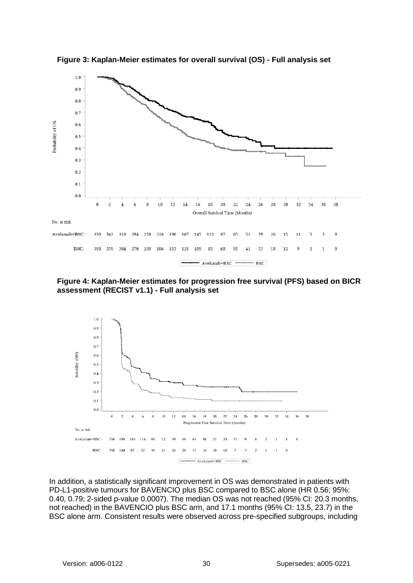

**Figure 3: Kaplan-Meier estimates for overall survival (OS) - Full analysis set**

**Figure 4: Kaplan-Meier estimates for progression free survival (PFS) based on BICR assessment (RECIST v1.1) - Full analysis set**



In addition, a statistically significant improvement in OS was demonstrated in patients with PD-L1-positive tumours for BAVENCIO plus BSC compared to BSC alone (HR 0.56; 95%: 0.40, 0.79; 2-sided p-value 0.0007). The median OS was not reached (95% CI: 20.3 months, not reached) in the BAVENCIO plus BSC arm, and 17.1 months (95% CI: 13.5, 23.7) in the BSC alone arm. Consistent results were observed across pre-specified subgroups, including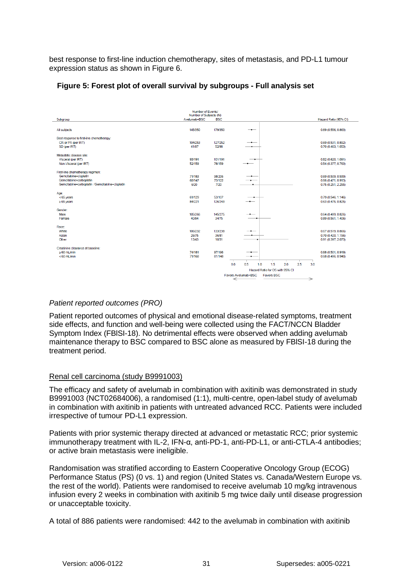best response to first-line induction chemotherapy, sites of metastasis, and PD-L1 tumour expression status as shown in [Figure 6.](#page-30-0)

<span id="page-30-0"></span>

| Figure 5: Forest plot of overall survival by subgroups - Full analysis set |  |  |  |  |
|----------------------------------------------------------------------------|--|--|--|--|
|                                                                            |  |  |  |  |

|                                                | Number of Events/<br>Number of Subjects (N) |            |                                          |                          |
|------------------------------------------------|---------------------------------------------|------------|------------------------------------------|--------------------------|
| Subgroup                                       | Avelumab+BSC                                | <b>BSC</b> |                                          | Hazard Ratio (95% CI)    |
|                                                |                                             |            |                                          |                          |
| All subjects                                   | 145/350                                     | 179/350    | -                                        | 0.69(0.556, 0.863)       |
|                                                |                                             |            |                                          |                          |
| Best response to first-line chemotherapy:      |                                             |            |                                          |                          |
| CR or PR (per IRT)                             | 104/253                                     | 127/252    |                                          | 0.69 (0.531, 0.892)      |
| SD (per IRT)                                   | 41/97                                       | 52/98      |                                          | 0.70 (0.463, 1.053)      |
| Metastatic disease site:                       |                                             |            |                                          |                          |
| Visceral (per IRT)                             | 93/191                                      | 101/191    |                                          | 0.82 (0.620, 1.091)      |
| Non-Visceral (per IRT)                         | 52/159                                      | 78/159     |                                          | 0.54(0.377, 0.763)       |
|                                                |                                             |            |                                          |                          |
| First-line chemotherapy regimen:               |                                             |            |                                          |                          |
| Gemcitabine+cisplatin                          | 71/183                                      | 98/206     |                                          | 0.69 (0.509, 0.939)      |
| Gemcitabine+carboplatin                        | 68/147                                      | 73/122     |                                          | 0.66 (0.471, 0.913)      |
| Gemcitabine+carboplatin /Gemcitabine+cisplatin | 6/20                                        | 7/20       |                                          | 0.75(0.251, 2.255)       |
| Age:                                           |                                             |            |                                          |                          |
| <65 years                                      | 61/129                                      | 53/107     |                                          | 0.79 (0.546, 1.146)      |
| $\geq 65$ years                                | 84/221                                      | 126/243    | --                                       | 0.63(0.475, 0.825)       |
|                                                |                                             |            |                                          |                          |
| Gender:                                        |                                             |            |                                          |                          |
| Male                                           | 105/266                                     | 145/275    | $\overline{\phantom{a}}$                 | 0.64(0.499, 0.826)       |
| Female                                         | 40/84                                       | 34/75      |                                          | 0.89(0.561, 1.406)       |
| Race:                                          |                                             |            |                                          |                          |
| White                                          | 106/232                                     | 133/238    |                                          | 0.67 (0.519, 0.866)      |
| Asian                                          | 26/75                                       | 36/81      |                                          | 0.70 (0.420, 1.156)      |
| Other                                          | 13/43                                       | 10/31      |                                          | 0.91 (0.397, 2.073)      |
| Creatinine clearance at baseline:              |                                             |            |                                          |                          |
| $\geq 60$ mL/min                               | 74/181                                      | 97/196     |                                          | 0.68(0.501, 0.919)       |
| $< 60$ mL/min                                  | 71/168                                      | 81/148     | <b>.</b>                                 | 0.68(0.496, 0.940)       |
|                                                |                                             |            |                                          |                          |
|                                                |                                             |            | 0.0<br>1.5<br>2.0<br>0.5<br>1.0<br>2.5   | 3.0                      |
|                                                |                                             |            | Hazard Ratio for OS with 95% CI          |                          |
|                                                |                                             |            | Favors Avelumab+BSC<br><b>Favors BSC</b> |                          |
|                                                |                                             |            | $\overline{\phantom{0}}$                 | $\overline{\phantom{0}}$ |

### *Patient reported outcomes (PRO)*

Patient reported outcomes of physical and emotional disease-related symptoms, treatment side effects, and function and well-being were collected using the FACT/NCCN Bladder Symptom Index (FBlSI-18). No detrimental effects were observed when adding avelumab maintenance therapy to BSC compared to BSC alone as measured by FBlSI-18 during the treatment period.

#### Renal cell carcinoma (study B9991003)

The efficacy and safety of avelumab in combination with axitinib was demonstrated in study B9991003 (NCT02684006), a randomised (1:1), multi-centre, open-label study of avelumab in combination with axitinib in patients with untreated advanced RCC. Patients were included irrespective of tumour PD-L1 expression.

Patients with prior systemic therapy directed at advanced or metastatic RCC; prior systemic immunotherapy treatment with IL-2, IFN-α, anti-PD-1, anti-PD-L1, or anti-CTLA-4 antibodies; or active brain metastasis were ineligible.

Randomisation was stratified according to Eastern Cooperative Oncology Group (ECOG) Performance Status (PS) (0 vs. 1) and region (United States vs. Canada/Western Europe vs. the rest of the world). Patients were randomised to receive avelumab 10 mg/kg intravenous infusion every 2 weeks in combination with axitinib 5 mg twice daily until disease progression or unacceptable toxicity.

A total of 886 patients were randomised: 442 to the avelumab in combination with axitinib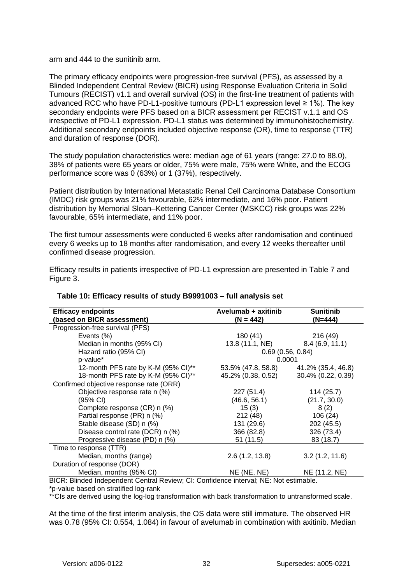arm and 444 to the sunitinib arm.

The primary efficacy endpoints were progression-free survival (PFS), as assessed by a Blinded Independent Central Review (BICR) using Response Evaluation Criteria in Solid Tumours (RECIST) v1.1 and overall survival (OS) in the first-line treatment of patients with advanced RCC who have PD-L1-positive tumours (PD-L1 expression level ≥ 1%). The key secondary endpoints were PFS based on a BICR assessment per RECIST v.1.1 and OS irrespective of PD-L1 expression. PD-L1 status was determined by immunohistochemistry. Additional secondary endpoints included objective response (OR), time to response (TTR) and duration of response (DOR).

The study population characteristics were: median age of 61 years (range: 27.0 to 88.0), 38% of patients were 65 years or older, 75% were male, 75% were White, and the ECOG performance score was 0 (63%) or 1 (37%), respectively.

Patient distribution by International Metastatic Renal Cell Carcinoma Database Consortium (IMDC) risk groups was 21% favourable, 62% intermediate, and 16% poor. Patient distribution by Memorial Sloan–Kettering Cancer Center (MSKCC) risk groups was 22% favourable, 65% intermediate, and 11% poor.

The first tumour assessments were conducted 6 weeks after randomisation and continued every 6 weeks up to 18 months after randomisation, and every 12 weeks thereafter until confirmed disease progression.

Efficacy results in patients irrespective of PD-L1 expression are presented in [Table 7](#page-31-0) and Figure 3.

| <b>Efficacy endpoints</b><br>(based on BICR assessment)                                                                                                           | Avelumab + axitinib<br>$(N = 442)$                                        | <b>Sunitinib</b><br>(N=444) |
|-------------------------------------------------------------------------------------------------------------------------------------------------------------------|---------------------------------------------------------------------------|-----------------------------|
| Progression-free survival (PFS)                                                                                                                                   |                                                                           |                             |
| Events (%)                                                                                                                                                        | 180 (41)                                                                  | 216 (49)                    |
| Median in months (95% CI)                                                                                                                                         | 13.8 (11.1, NE)                                                           | 8.4(6.9, 11.1)              |
| Hazard ratio (95% CI)                                                                                                                                             | 0.69(0.56, 0.84)                                                          |                             |
| p-value*                                                                                                                                                          | 0.0001                                                                    |                             |
| 12-month PFS rate by K-M (95% CI)**                                                                                                                               | 53.5% (47.8, 58.8)                                                        | 41.2% (35.4, 46.8)          |
| 18-month PFS rate by K-M (95% CI)**                                                                                                                               | 45.2% (0.38, 0.52)                                                        | 30.4% (0.22, 0.39)          |
| Confirmed objective response rate (ORR)                                                                                                                           |                                                                           |                             |
| Objective response rate n (%)                                                                                                                                     | 227 (51.4)                                                                | 114(25.7)                   |
| (95% CI)                                                                                                                                                          | (46.6, 56.1)                                                              | (21.7, 30.0)                |
| Complete response (CR) n (%)                                                                                                                                      | 15(3)                                                                     | 8(2)                        |
| Partial response (PR) n (%)                                                                                                                                       | 212 (48)                                                                  | 106 (24)                    |
| Stable disease (SD) n (%)                                                                                                                                         | 131 (29.6)                                                                | 202 (45.5)                  |
| Disease control rate (DCR) n (%)                                                                                                                                  | 366 (82.8)                                                                | 326 (73.4)                  |
| Progressive disease (PD) n (%)                                                                                                                                    | 51(11.5)                                                                  | 83 (18.7)                   |
| Time to response (TTR)                                                                                                                                            |                                                                           |                             |
| Median, months (range)                                                                                                                                            | 2.6(1.2, 13.8)                                                            | 3.2(1.2, 11.6)              |
| Duration of response (DOR)                                                                                                                                        |                                                                           |                             |
| Median, months (95% CI)<br><b>PIOP PULLIPLIC IL IO IL IO IL IO IL IO IL IO IL IO IL IO IL IO IL IO IL IO IL IO IL IO IL IO IL IO IL IO IL IO</b><br>$\sim$ $\sim$ | NE (NE, NE)<br>$\cdots$<br>$\mathbf{r}$ and $\mathbf{r}$ and $\mathbf{r}$ | NE (11.2, NE)               |

## <span id="page-31-0"></span>**Table 10: Efficacy results of study B9991003 – full analysis set**

BICR: Blinded Independent Central Review; CI: Confidence interval; NE: Not estimable. \*p-value based on stratified log-rank

\*\*CIs are derived using the log-log transformation with back transformation to untransformed scale.

At the time of the first interim analysis, the OS data were still immature. The observed HR was 0.78 (95% CI: 0.554, 1.084) in favour of avelumab in combination with axitinib. Median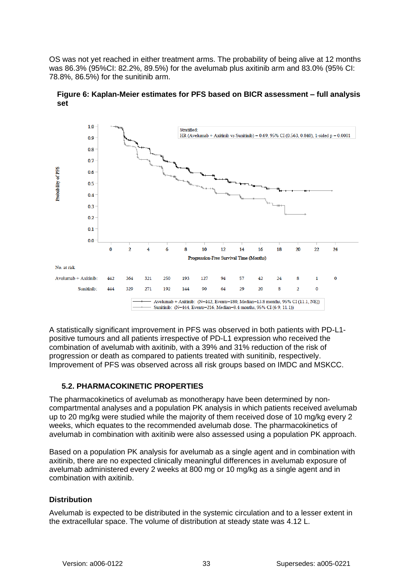OS was not yet reached in either treatment arms. The probability of being alive at 12 months was 86.3% (95%CI: 82.2%, 89.5%) for the avelumab plus axitinib arm and 83.0% (95% CI: 78.8%, 86.5%) for the sunitinib arm.



**Figure 6: Kaplan-Meier estimates for PFS based on BICR assessment – full analysis set**

A statistically significant improvement in PFS was observed in both patients with PD-L1 positive tumours and all patients irrespective of PD-L1 expression who received the combination of avelumab with axitinib, with a 39% and 31% reduction of the risk of progression or death as compared to patients treated with sunitinib, respectively. Improvement of PFS was observed across all risk groups based on IMDC and MSKCC.

## **5.2. PHARMACOKINETIC PROPERTIES**

The pharmacokinetics of avelumab as monotherapy have been determined by noncompartmental analyses and a population PK analysis in which patients received avelumab up to 20 mg/kg were studied while the majority of them received dose of 10 mg/kg every 2 weeks, which equates to the recommended avelumab dose. The pharmacokinetics of avelumab in combination with axitinib were also assessed using a population PK approach.

Based on a population PK analysis for avelumab as a single agent and in combination with axitinib, there are no expected clinically meaningful differences in avelumab exposure of avelumab administered every 2 weeks at 800 mg or 10 mg/kg as a single agent and in combination with axitinib.

### **Distribution**

Avelumab is expected to be distributed in the systemic circulation and to a lesser extent in the extracellular space. The volume of distribution at steady state was 4.12 L.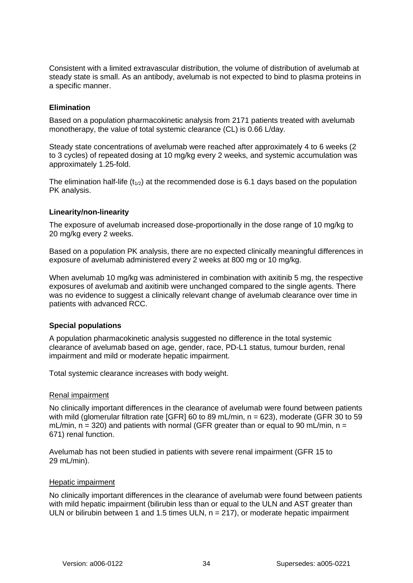Consistent with a limited extravascular distribution, the volume of distribution of avelumab at steady state is small. As an antibody, avelumab is not expected to bind to plasma proteins in a specific manner.

### **Elimination**

Based on a population pharmacokinetic analysis from 2171 patients treated with avelumab monotherapy, the value of total systemic clearance (CL) is 0.66 L/day.

Steady state concentrations of avelumab were reached after approximately 4 to 6 weeks (2 to 3 cycles) of repeated dosing at 10 mg/kg every 2 weeks, and systemic accumulation was approximately 1.25-fold.

The elimination half-life  $(t_{1/2})$  at the recommended dose is 6.1 days based on the population PK analysis.

#### **Linearity/non-linearity**

The exposure of avelumab increased dose-proportionally in the dose range of 10 mg/kg to 20 mg/kg every 2 weeks.

Based on a population PK analysis, there are no expected clinically meaningful differences in exposure of avelumab administered every 2 weeks at 800 mg or 10 mg/kg.

When avelumab 10 mg/kg was administered in combination with axitinib 5 mg, the respective exposures of avelumab and axitinib were unchanged compared to the single agents. There was no evidence to suggest a clinically relevant change of avelumab clearance over time in patients with advanced RCC.

#### **Special populations**

A population pharmacokinetic analysis suggested no difference in the total systemic clearance of avelumab based on age, gender, race, PD-L1 status, tumour burden, renal impairment and mild or moderate hepatic impairment.

Total systemic clearance increases with body weight.

## Renal impairment

No clinically important differences in the clearance of avelumab were found between patients with mild (glomerular filtration rate [GFR] 60 to 89 mL/min, n = 623), moderate (GFR 30 to 59 mL/min,  $n = 320$ ) and patients with normal (GFR greater than or equal to 90 mL/min,  $n =$ 671) renal function.

Avelumab has not been studied in patients with severe renal impairment (GFR 15 to 29 mL/min).

#### Hepatic impairment

No clinically important differences in the clearance of avelumab were found between patients with mild hepatic impairment (bilirubin less than or equal to the ULN and AST greater than ULN or bilirubin between 1 and 1.5 times ULN,  $n = 217$ ), or moderate hepatic impairment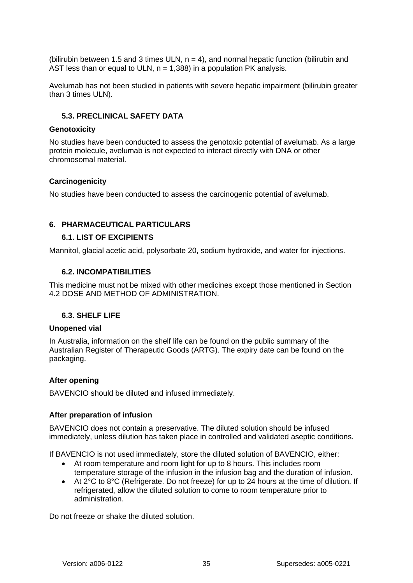(bilirubin between 1.5 and 3 times ULN,  $n = 4$ ), and normal hepatic function (bilirubin and AST less than or equal to ULN,  $n = 1,388$ ) in a population PK analysis.

Avelumab has not been studied in patients with severe hepatic impairment (bilirubin greater than 3 times ULN).

#### **5.3. PRECLINICAL SAFETY DATA**

#### **Genotoxicity**

No studies have been conducted to assess the genotoxic potential of avelumab. As a large protein molecule, avelumab is not expected to interact directly with DNA or other chromosomal material.

#### **Carcinogenicity**

No studies have been conducted to assess the carcinogenic potential of avelumab.

#### <span id="page-34-0"></span>**6. PHARMACEUTICAL PARTICULARS**

#### **6.1. LIST OF EXCIPIENTS**

Mannitol, glacial acetic acid, polysorbate 20, sodium hydroxide, and water for injections.

#### **6.2. INCOMPATIBILITIES**

This medicine must not be mixed with other medicines except those mentioned in Section [4.2](#page-0-0) [DOSE AND METHOD OF ADMINISTRATION.](#page-0-0)

#### <span id="page-34-1"></span>**6.3. SHELF LIFE**

#### **Unopened vial**

In Australia, information on the shelf life can be found on the public summary of the Australian Register of Therapeutic Goods (ARTG). The expiry date can be found on the packaging.

#### **After opening**

BAVENCIO should be diluted and infused immediately.

#### **After preparation of infusion**

BAVENCIO does not contain a preservative. The diluted solution should be infused immediately, unless dilution has taken place in controlled and validated aseptic conditions.

If BAVENCIO is not used immediately, store the diluted solution of BAVENCIO, either:

- At room temperature and room light for up to 8 hours. This includes room temperature storage of the infusion in the infusion bag and the duration of infusion.
- At 2°C to 8°C (Refrigerate. Do not freeze) for up to 24 hours at the time of dilution. If refrigerated, allow the diluted solution to come to room temperature prior to administration.

Do not freeze or shake the diluted solution.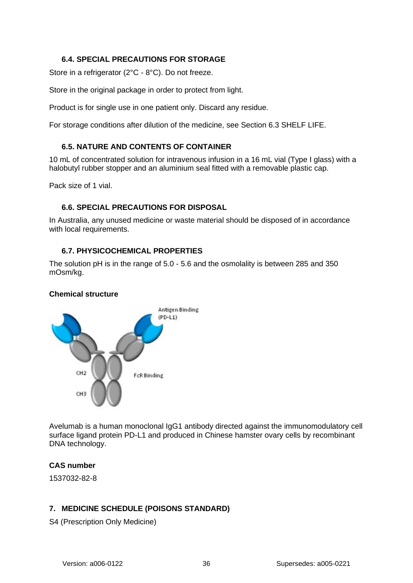# **6.4. SPECIAL PRECAUTIONS FOR STORAGE**

Store in a refrigerator (2°C - 8°C). Do not freeze.

Store in the original package in order to protect from light.

Product is for single use in one patient only. Discard any residue.

For storage conditions after dilution of the medicine, see Section [6.3](#page-34-1) [SHELF LIFE.](#page-34-1)

## **6.5. NATURE AND CONTENTS OF CONTAINER**

10 mL of concentrated solution for intravenous infusion in a 16 mL vial (Type I glass) with a halobutyl rubber stopper and an aluminium seal fitted with a removable plastic cap.

Pack size of 1 vial.

## **6.6. SPECIAL PRECAUTIONS FOR DISPOSAL**

In Australia, any unused medicine or waste material should be disposed of in accordance with local requirements.

## **6.7. PHYSICOCHEMICAL PROPERTIES**

The solution pH is in the range of 5.0 - 5.6 and the osmolality is between 285 and 350 mOsm/kg.

### **Chemical structure**



Avelumab is a human monoclonal IgG1 antibody directed against the immunomodulatory cell surface ligand protein PD-L1 and produced in Chinese hamster ovary cells by recombinant DNA technology.

## **CAS number**

1537032-82-8

# **7. MEDICINE SCHEDULE (POISONS STANDARD)**

S4 (Prescription Only Medicine)